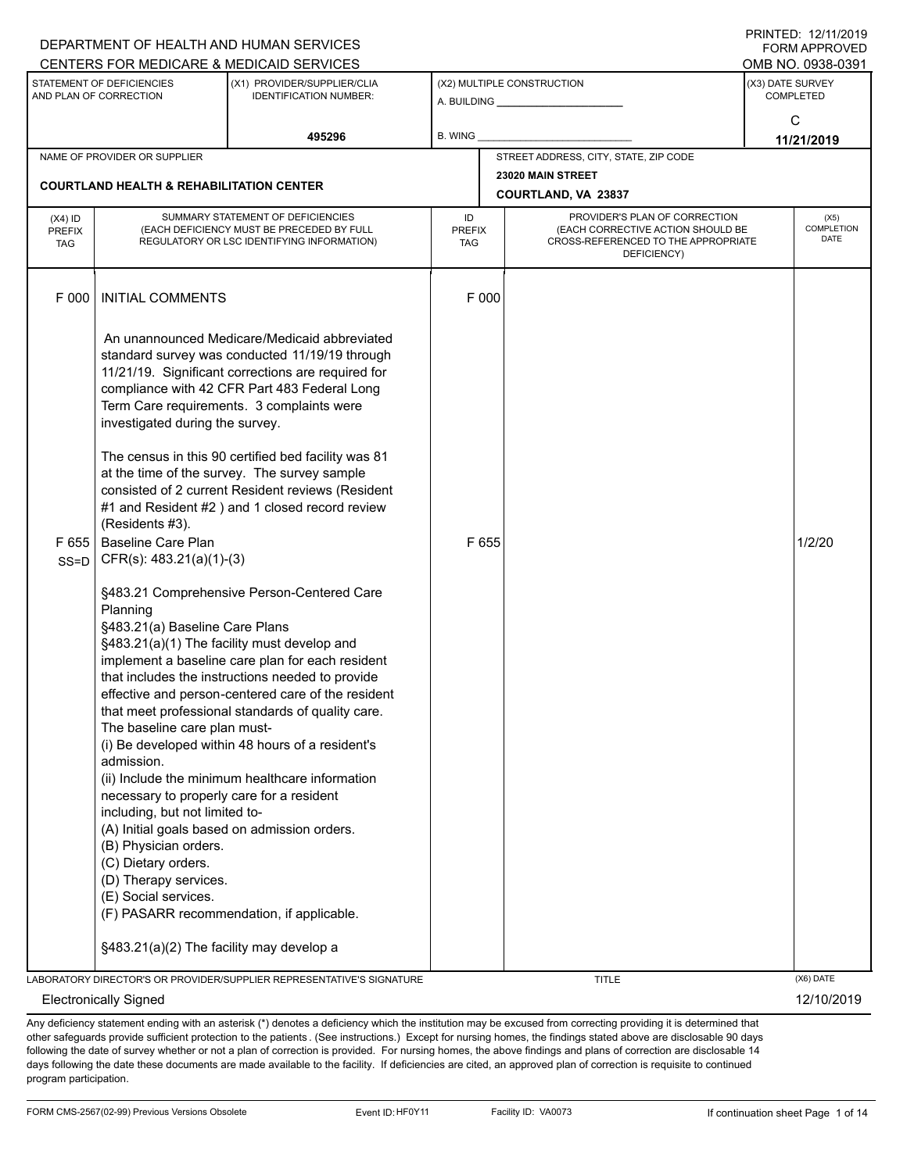|                                          |                                                                                                                                                                                                                                                                                                                      | DEPARTMENT OF HEALTH AND HUMAN SERVICES                                                                                                                                                                                                                                                                                                                                                                                                                                                                          |                                                              |                                                                                                                          | <b>FORM APPROVED</b>                 |
|------------------------------------------|----------------------------------------------------------------------------------------------------------------------------------------------------------------------------------------------------------------------------------------------------------------------------------------------------------------------|------------------------------------------------------------------------------------------------------------------------------------------------------------------------------------------------------------------------------------------------------------------------------------------------------------------------------------------------------------------------------------------------------------------------------------------------------------------------------------------------------------------|--------------------------------------------------------------|--------------------------------------------------------------------------------------------------------------------------|--------------------------------------|
|                                          |                                                                                                                                                                                                                                                                                                                      | CENTERS FOR MEDICARE & MEDICAID SERVICES                                                                                                                                                                                                                                                                                                                                                                                                                                                                         |                                                              |                                                                                                                          | OMB NO. 0938-0391                    |
|                                          | STATEMENT OF DEFICIENCIES<br>AND PLAN OF CORRECTION                                                                                                                                                                                                                                                                  | (X1) PROVIDER/SUPPLIER/CLIA<br><b>IDENTIFICATION NUMBER:</b>                                                                                                                                                                                                                                                                                                                                                                                                                                                     | (X2) MULTIPLE CONSTRUCTION<br>A. BUILDING <b>A.</b> BUILDING |                                                                                                                          | (X3) DATE SURVEY<br><b>COMPLETED</b> |
|                                          |                                                                                                                                                                                                                                                                                                                      | 495296                                                                                                                                                                                                                                                                                                                                                                                                                                                                                                           | B. WING                                                      |                                                                                                                          | C<br>11/21/2019                      |
|                                          | NAME OF PROVIDER OR SUPPLIER                                                                                                                                                                                                                                                                                         |                                                                                                                                                                                                                                                                                                                                                                                                                                                                                                                  |                                                              | STREET ADDRESS, CITY, STATE, ZIP CODE                                                                                    |                                      |
|                                          | <b>COURTLAND HEALTH &amp; REHABILITATION CENTER</b>                                                                                                                                                                                                                                                                  |                                                                                                                                                                                                                                                                                                                                                                                                                                                                                                                  |                                                              | 23020 MAIN STREET<br>COURTLAND, VA 23837                                                                                 |                                      |
| $(X4)$ ID<br><b>PREFIX</b><br><b>TAG</b> |                                                                                                                                                                                                                                                                                                                      | SUMMARY STATEMENT OF DEFICIENCIES<br>(EACH DEFICIENCY MUST BE PRECEDED BY FULL<br>REGULATORY OR LSC IDENTIFYING INFORMATION)                                                                                                                                                                                                                                                                                                                                                                                     | ID<br><b>PREFIX</b><br>TAG                                   | PROVIDER'S PLAN OF CORRECTION<br>(EACH CORRECTIVE ACTION SHOULD BE<br>CROSS-REFERENCED TO THE APPROPRIATE<br>DEFICIENCY) | (X5)<br>COMPLETION<br><b>DATE</b>    |
| F 000                                    | <b>INITIAL COMMENTS</b>                                                                                                                                                                                                                                                                                              |                                                                                                                                                                                                                                                                                                                                                                                                                                                                                                                  | F 000                                                        |                                                                                                                          |                                      |
|                                          | investigated during the survey.                                                                                                                                                                                                                                                                                      | An unannounced Medicare/Medicaid abbreviated<br>standard survey was conducted 11/19/19 through<br>11/21/19. Significant corrections are required for<br>compliance with 42 CFR Part 483 Federal Long<br>Term Care requirements. 3 complaints were<br>The census in this 90 certified bed facility was 81<br>at the time of the survey. The survey sample<br>consisted of 2 current Resident reviews (Resident<br>#1 and Resident #2 ) and 1 closed record review                                                 |                                                              |                                                                                                                          |                                      |
| F655<br>$SS = D$                         | (Residents #3).<br><b>Baseline Care Plan</b><br>$CFR(s): 483.21(a)(1)-(3)$                                                                                                                                                                                                                                           |                                                                                                                                                                                                                                                                                                                                                                                                                                                                                                                  | F 655                                                        |                                                                                                                          | 1/2/20                               |
|                                          | Planning<br>§483.21(a) Baseline Care Plans<br>The baseline care plan must-<br>admission.<br>necessary to properly care for a resident<br>including, but not limited to-<br>(B) Physician orders.<br>(C) Dietary orders.<br>(D) Therapy services.<br>(E) Social services.<br>§483.21(a)(2) The facility may develop a | §483.21 Comprehensive Person-Centered Care<br>§483.21(a)(1) The facility must develop and<br>implement a baseline care plan for each resident<br>that includes the instructions needed to provide<br>effective and person-centered care of the resident<br>that meet professional standards of quality care.<br>(i) Be developed within 48 hours of a resident's<br>(ii) Include the minimum healthcare information<br>(A) Initial goals based on admission orders.<br>(F) PASARR recommendation, if applicable. |                                                              |                                                                                                                          |                                      |
|                                          |                                                                                                                                                                                                                                                                                                                      | LABORATORY DIRECTOR'S OR PROVIDER/SUPPLIER REPRESENTATIVE'S SIGNATURE                                                                                                                                                                                                                                                                                                                                                                                                                                            |                                                              | <b>TITLE</b>                                                                                                             | (X6) DATE                            |
|                                          | <b>Electronically Signed</b>                                                                                                                                                                                                                                                                                         |                                                                                                                                                                                                                                                                                                                                                                                                                                                                                                                  |                                                              |                                                                                                                          | 12/10/2019                           |

Any deficiency statement ending with an asterisk (\*) denotes a deficiency which the institution may be excused from correcting providing it is determined that other safeguards provide sufficient protection to the patients . (See instructions.) Except for nursing homes, the findings stated above are disclosable 90 days following the date of survey whether or not a plan of correction is provided. For nursing homes, the above findings and plans of correction are disclosable 14 days following the date these documents are made available to the facility. If deficiencies are cited, an approved plan of correction is requisite to continued program participation.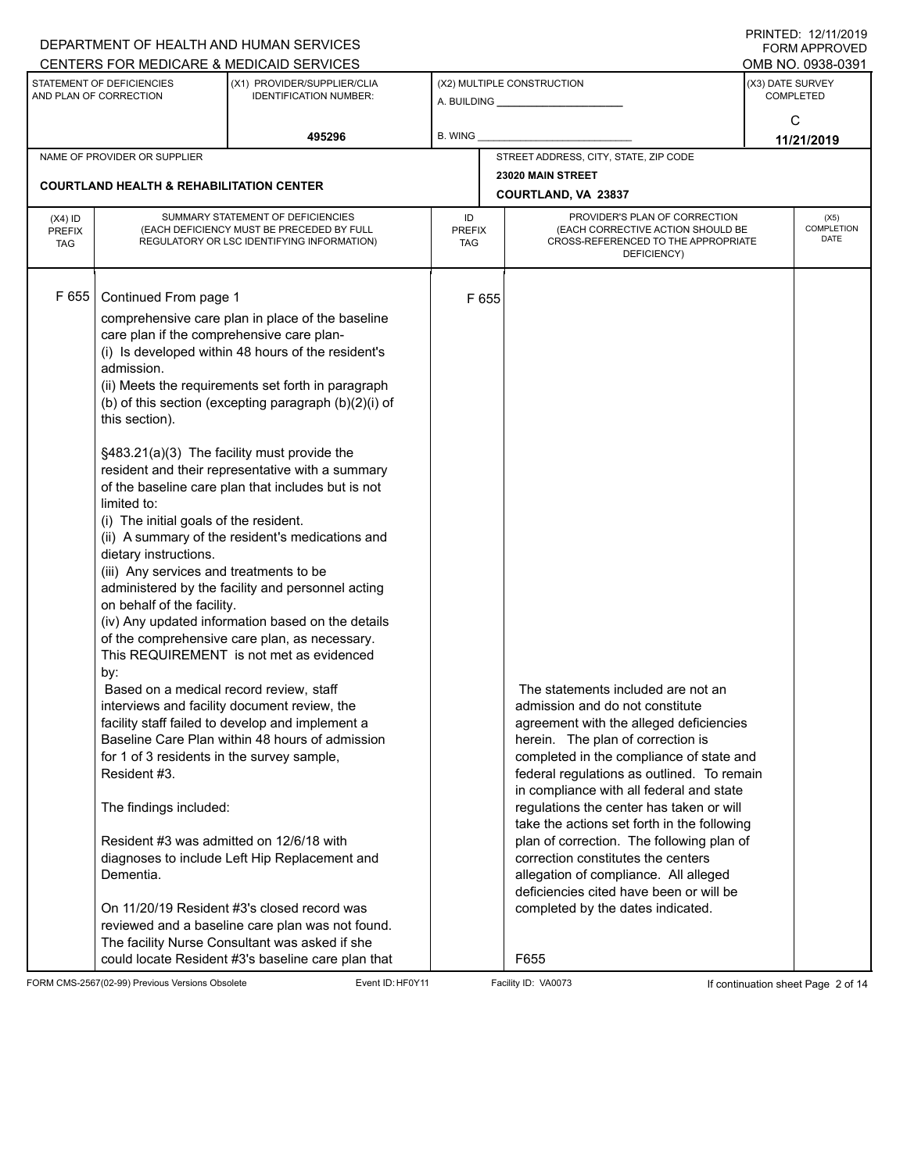|                                          |                                                                                                                                                                                                                                                                                                                                                                                                                                                                  | DEPARTMENT OF HEALTH AND HUMAN SERVICES<br>CENTERS FOR MEDICARE & MEDICAID SERVICES                                                                                                                                                                                                                                                                                                                                                                                                                                                                                                                                                                                                                                                                                                                                                                                                                                                                                                                                                                          |                                   |                                                                                                                                                                                                                                                                                                                                                                                                                                                                                                                                                                                                            | FININILU. IZ/IIIZUIS<br><b>FORM APPROVED</b><br>OMB NO. 0938-0391 |
|------------------------------------------|------------------------------------------------------------------------------------------------------------------------------------------------------------------------------------------------------------------------------------------------------------------------------------------------------------------------------------------------------------------------------------------------------------------------------------------------------------------|--------------------------------------------------------------------------------------------------------------------------------------------------------------------------------------------------------------------------------------------------------------------------------------------------------------------------------------------------------------------------------------------------------------------------------------------------------------------------------------------------------------------------------------------------------------------------------------------------------------------------------------------------------------------------------------------------------------------------------------------------------------------------------------------------------------------------------------------------------------------------------------------------------------------------------------------------------------------------------------------------------------------------------------------------------------|-----------------------------------|------------------------------------------------------------------------------------------------------------------------------------------------------------------------------------------------------------------------------------------------------------------------------------------------------------------------------------------------------------------------------------------------------------------------------------------------------------------------------------------------------------------------------------------------------------------------------------------------------------|-------------------------------------------------------------------|
|                                          | STATEMENT OF DEFICIENCIES<br>AND PLAN OF CORRECTION                                                                                                                                                                                                                                                                                                                                                                                                              | (X1) PROVIDER/SUPPLIER/CLIA<br><b>IDENTIFICATION NUMBER:</b>                                                                                                                                                                                                                                                                                                                                                                                                                                                                                                                                                                                                                                                                                                                                                                                                                                                                                                                                                                                                 |                                   | (X2) MULTIPLE CONSTRUCTION                                                                                                                                                                                                                                                                                                                                                                                                                                                                                                                                                                                 | (X3) DATE SURVEY<br><b>COMPLETED</b>                              |
|                                          |                                                                                                                                                                                                                                                                                                                                                                                                                                                                  | 495296                                                                                                                                                                                                                                                                                                                                                                                                                                                                                                                                                                                                                                                                                                                                                                                                                                                                                                                                                                                                                                                       | <b>B. WING</b>                    |                                                                                                                                                                                                                                                                                                                                                                                                                                                                                                                                                                                                            | C<br>11/21/2019                                                   |
|                                          | NAME OF PROVIDER OR SUPPLIER                                                                                                                                                                                                                                                                                                                                                                                                                                     |                                                                                                                                                                                                                                                                                                                                                                                                                                                                                                                                                                                                                                                                                                                                                                                                                                                                                                                                                                                                                                                              |                                   | STREET ADDRESS, CITY, STATE, ZIP CODE                                                                                                                                                                                                                                                                                                                                                                                                                                                                                                                                                                      |                                                                   |
|                                          | <b>COURTLAND HEALTH &amp; REHABILITATION CENTER</b>                                                                                                                                                                                                                                                                                                                                                                                                              |                                                                                                                                                                                                                                                                                                                                                                                                                                                                                                                                                                                                                                                                                                                                                                                                                                                                                                                                                                                                                                                              |                                   | 23020 MAIN STREET<br><b>COURTLAND, VA 23837</b>                                                                                                                                                                                                                                                                                                                                                                                                                                                                                                                                                            |                                                                   |
| $(X4)$ ID<br><b>PREFIX</b><br><b>TAG</b> |                                                                                                                                                                                                                                                                                                                                                                                                                                                                  | SUMMARY STATEMENT OF DEFICIENCIES<br>(EACH DEFICIENCY MUST BE PRECEDED BY FULL<br>REGULATORY OR LSC IDENTIFYING INFORMATION)                                                                                                                                                                                                                                                                                                                                                                                                                                                                                                                                                                                                                                                                                                                                                                                                                                                                                                                                 | ID<br><b>PREFIX</b><br><b>TAG</b> | PROVIDER'S PLAN OF CORRECTION<br>(EACH CORRECTIVE ACTION SHOULD BE<br>CROSS-REFERENCED TO THE APPROPRIATE<br>DEFICIENCY)                                                                                                                                                                                                                                                                                                                                                                                                                                                                                   | (X5)<br><b>COMPLETION</b><br><b>DATE</b>                          |
| F 655                                    | Continued From page 1<br>care plan if the comprehensive care plan-<br>admission.<br>this section).<br>limited to:<br>(i) The initial goals of the resident.<br>dietary instructions.<br>(iii) Any services and treatments to be<br>on behalf of the facility.<br>by:<br>Based on a medical record review, staff<br>for 1 of 3 residents in the survey sample,<br>Resident #3.<br>The findings included:<br>Resident #3 was admitted on 12/6/18 with<br>Dementia. | comprehensive care plan in place of the baseline<br>(i) Is developed within 48 hours of the resident's<br>(ii) Meets the requirements set forth in paragraph<br>(b) of this section (excepting paragraph (b)(2)(i) of<br>§483.21(a)(3) The facility must provide the<br>resident and their representative with a summary<br>of the baseline care plan that includes but is not<br>(ii) A summary of the resident's medications and<br>administered by the facility and personnel acting<br>(iv) Any updated information based on the details<br>of the comprehensive care plan, as necessary.<br>This REQUIREMENT is not met as evidenced<br>interviews and facility document review, the<br>facility staff failed to develop and implement a<br>Baseline Care Plan within 48 hours of admission<br>diagnoses to include Left Hip Replacement and<br>On 11/20/19 Resident #3's closed record was<br>reviewed and a baseline care plan was not found.<br>The facility Nurse Consultant was asked if she<br>could locate Resident #3's baseline care plan that | F 655                             | The statements included are not an<br>admission and do not constitute<br>agreement with the alleged deficiencies<br>herein. The plan of correction is<br>completed in the compliance of state and<br>federal regulations as outlined. To remain<br>in compliance with all federal and state<br>regulations the center has taken or will<br>take the actions set forth in the following<br>plan of correction. The following plan of<br>correction constitutes the centers<br>allegation of compliance. All alleged<br>deficiencies cited have been or will be<br>completed by the dates indicated.<br>F655 |                                                                   |

FORM CMS-2567(02-99) Previous Versions Obsolete Event ID: HF0Y11 Facility ID: VA0073 If continuation sheet Page 2 of 14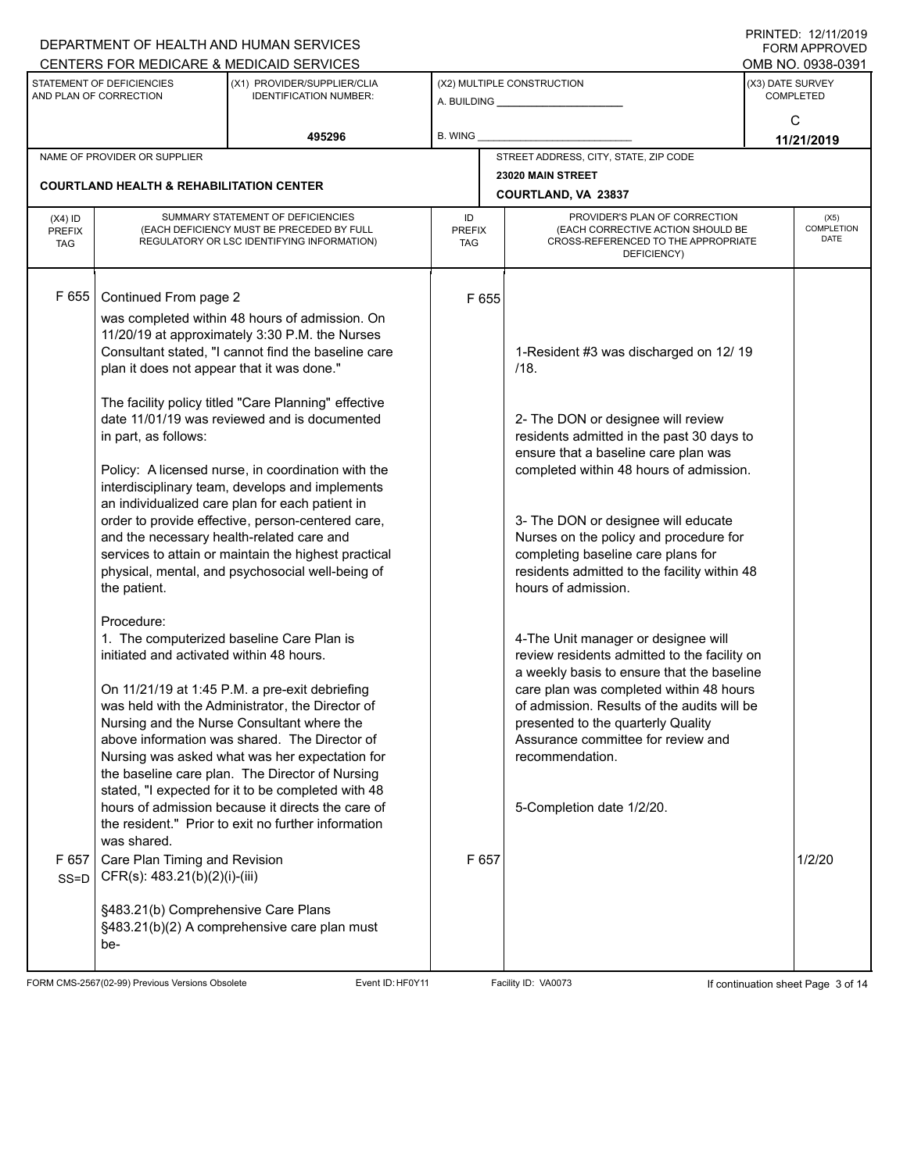|                                          |                                                                                                              | DEPARTMENT OF HEALTH AND HUMAN SERVICES                                                                                                                                                                                                                                                                                                                                                                                                                                                                               |                            |                                                                                                                                                                                                                                                                                                                                                         |                                      | <b>FORM APPROVED</b>                     |
|------------------------------------------|--------------------------------------------------------------------------------------------------------------|-----------------------------------------------------------------------------------------------------------------------------------------------------------------------------------------------------------------------------------------------------------------------------------------------------------------------------------------------------------------------------------------------------------------------------------------------------------------------------------------------------------------------|----------------------------|---------------------------------------------------------------------------------------------------------------------------------------------------------------------------------------------------------------------------------------------------------------------------------------------------------------------------------------------------------|--------------------------------------|------------------------------------------|
|                                          |                                                                                                              | CENTERS FOR MEDICARE & MEDICAID SERVICES                                                                                                                                                                                                                                                                                                                                                                                                                                                                              |                            |                                                                                                                                                                                                                                                                                                                                                         |                                      | OMB NO. 0938-0391                        |
|                                          | STATEMENT OF DEFICIENCIES<br>AND PLAN OF CORRECTION                                                          | (X1) PROVIDER/SUPPLIER/CLIA<br><b>IDENTIFICATION NUMBER:</b>                                                                                                                                                                                                                                                                                                                                                                                                                                                          |                            | (X2) MULTIPLE CONSTRUCTION<br>A. BUILDING <b>A.</b> BUILDING                                                                                                                                                                                                                                                                                            | (X3) DATE SURVEY<br><b>COMPLETED</b> |                                          |
|                                          |                                                                                                              | 495296                                                                                                                                                                                                                                                                                                                                                                                                                                                                                                                | B. WING                    |                                                                                                                                                                                                                                                                                                                                                         | C                                    | 11/21/2019                               |
|                                          | NAME OF PROVIDER OR SUPPLIER                                                                                 |                                                                                                                                                                                                                                                                                                                                                                                                                                                                                                                       |                            | STREET ADDRESS, CITY, STATE, ZIP CODE                                                                                                                                                                                                                                                                                                                   |                                      |                                          |
|                                          | <b>COURTLAND HEALTH &amp; REHABILITATION CENTER</b>                                                          |                                                                                                                                                                                                                                                                                                                                                                                                                                                                                                                       |                            | 23020 MAIN STREET                                                                                                                                                                                                                                                                                                                                       |                                      |                                          |
|                                          |                                                                                                              |                                                                                                                                                                                                                                                                                                                                                                                                                                                                                                                       |                            | COURTLAND, VA 23837                                                                                                                                                                                                                                                                                                                                     |                                      |                                          |
| $(X4)$ ID<br><b>PREFIX</b><br><b>TAG</b> |                                                                                                              | SUMMARY STATEMENT OF DEFICIENCIES<br>(EACH DEFICIENCY MUST BE PRECEDED BY FULL<br>REGULATORY OR LSC IDENTIFYING INFORMATION)                                                                                                                                                                                                                                                                                                                                                                                          | ID<br><b>PREFIX</b><br>TAG | PROVIDER'S PLAN OF CORRECTION<br>(EACH CORRECTIVE ACTION SHOULD BE<br>CROSS-REFERENCED TO THE APPROPRIATE<br>DEFICIENCY)                                                                                                                                                                                                                                |                                      | (X5)<br><b>COMPLETION</b><br><b>DATE</b> |
| F 655                                    | Continued From page 2<br>plan it does not appear that it was done."<br>in part, as follows:                  | was completed within 48 hours of admission. On<br>11/20/19 at approximately 3:30 P.M. the Nurses<br>Consultant stated, "I cannot find the baseline care<br>The facility policy titled "Care Planning" effective<br>date 11/01/19 was reviewed and is documented<br>Policy: A licensed nurse, in coordination with the<br>interdisciplinary team, develops and implements<br>an individualized care plan for each patient in<br>order to provide effective, person-centered care,                                      | F 655                      | 1-Resident #3 was discharged on 12/19<br>/18.<br>2- The DON or designee will review<br>residents admitted in the past 30 days to<br>ensure that a baseline care plan was<br>completed within 48 hours of admission.<br>3- The DON or designee will educate                                                                                              |                                      |                                          |
|                                          | and the necessary health-related care and<br>the patient.<br>Procedure:                                      | services to attain or maintain the highest practical<br>physical, mental, and psychosocial well-being of                                                                                                                                                                                                                                                                                                                                                                                                              |                            | Nurses on the policy and procedure for<br>completing baseline care plans for<br>residents admitted to the facility within 48<br>hours of admission.                                                                                                                                                                                                     |                                      |                                          |
|                                          | initiated and activated within 48 hours.<br>was shared.                                                      | 1. The computerized baseline Care Plan is<br>On 11/21/19 at 1:45 P.M. a pre-exit debriefing<br>was held with the Administrator, the Director of<br>Nursing and the Nurse Consultant where the<br>above information was shared. The Director of<br>Nursing was asked what was her expectation for<br>the baseline care plan. The Director of Nursing<br>stated, "I expected for it to be completed with 48<br>hours of admission because it directs the care of<br>the resident." Prior to exit no further information |                            | 4-The Unit manager or designee will<br>review residents admitted to the facility on<br>a weekly basis to ensure that the baseline<br>care plan was completed within 48 hours<br>of admission. Results of the audits will be<br>presented to the quarterly Quality<br>Assurance committee for review and<br>recommendation.<br>5-Completion date 1/2/20. |                                      |                                          |
| F 657<br>$SS=D$                          | Care Plan Timing and Revision<br>CFR(s): 483.21(b)(2)(i)-(iii)<br>§483.21(b) Comprehensive Care Plans<br>be- | §483.21(b)(2) A comprehensive care plan must                                                                                                                                                                                                                                                                                                                                                                                                                                                                          | F 657                      |                                                                                                                                                                                                                                                                                                                                                         |                                      | 1/2/20                                   |

FORM CMS-2567(02-99) Previous Versions Obsolete Event ID:HF0Y11 Facility ID: VA0073 If continuation sheet Page 3 of 14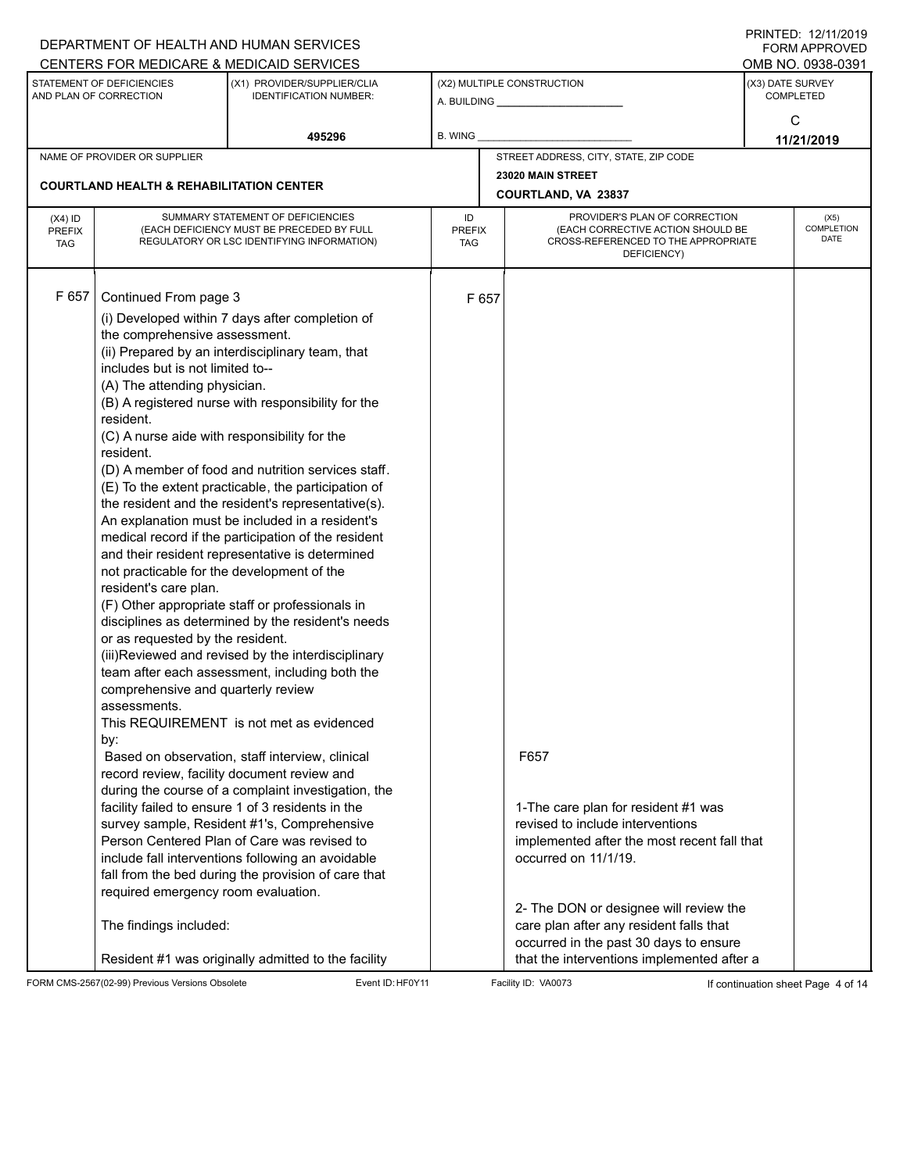|                                          | CENTERS FOR MEDICARE & MEDICAID SERVICES                                                                                                                                                                                                                                                                                                                                                                                                      | DEPARTMENT OF HEALTH AND HUMAN SERVICES                                                                                                                                                                                                                                                                                                                                                                                                                                                                                                                                                                                                                                                                                                                                                                                                                                                                                                                                                                                                                                                                                                                                                                                              |                                   |                                                                                                                                                                                                                                                                                                                                              |                                                                                                                          | $\Gamma$ INIIVILU. IZ/IIIZUIJ<br><b>FORM APPROVED</b><br>OMB NO. 0938-0391 |
|------------------------------------------|-----------------------------------------------------------------------------------------------------------------------------------------------------------------------------------------------------------------------------------------------------------------------------------------------------------------------------------------------------------------------------------------------------------------------------------------------|--------------------------------------------------------------------------------------------------------------------------------------------------------------------------------------------------------------------------------------------------------------------------------------------------------------------------------------------------------------------------------------------------------------------------------------------------------------------------------------------------------------------------------------------------------------------------------------------------------------------------------------------------------------------------------------------------------------------------------------------------------------------------------------------------------------------------------------------------------------------------------------------------------------------------------------------------------------------------------------------------------------------------------------------------------------------------------------------------------------------------------------------------------------------------------------------------------------------------------------|-----------------------------------|----------------------------------------------------------------------------------------------------------------------------------------------------------------------------------------------------------------------------------------------------------------------------------------------------------------------------------------------|--------------------------------------------------------------------------------------------------------------------------|----------------------------------------------------------------------------|
|                                          | STATEMENT OF DEFICIENCIES<br>AND PLAN OF CORRECTION                                                                                                                                                                                                                                                                                                                                                                                           | (X1) PROVIDER/SUPPLIER/CLIA<br><b>IDENTIFICATION NUMBER:</b>                                                                                                                                                                                                                                                                                                                                                                                                                                                                                                                                                                                                                                                                                                                                                                                                                                                                                                                                                                                                                                                                                                                                                                         |                                   | (X2) MULTIPLE CONSTRUCTION                                                                                                                                                                                                                                                                                                                   |                                                                                                                          | (X3) DATE SURVEY<br><b>COMPLETED</b>                                       |
|                                          |                                                                                                                                                                                                                                                                                                                                                                                                                                               | 495296                                                                                                                                                                                                                                                                                                                                                                                                                                                                                                                                                                                                                                                                                                                                                                                                                                                                                                                                                                                                                                                                                                                                                                                                                               | <b>B. WING</b>                    |                                                                                                                                                                                                                                                                                                                                              |                                                                                                                          | C<br>11/21/2019                                                            |
|                                          | NAME OF PROVIDER OR SUPPLIER                                                                                                                                                                                                                                                                                                                                                                                                                  |                                                                                                                                                                                                                                                                                                                                                                                                                                                                                                                                                                                                                                                                                                                                                                                                                                                                                                                                                                                                                                                                                                                                                                                                                                      |                                   | STREET ADDRESS, CITY, STATE, ZIP CODE                                                                                                                                                                                                                                                                                                        |                                                                                                                          |                                                                            |
|                                          | <b>COURTLAND HEALTH &amp; REHABILITATION CENTER</b>                                                                                                                                                                                                                                                                                                                                                                                           |                                                                                                                                                                                                                                                                                                                                                                                                                                                                                                                                                                                                                                                                                                                                                                                                                                                                                                                                                                                                                                                                                                                                                                                                                                      |                                   | 23020 MAIN STREET<br><b>COURTLAND, VA 23837</b>                                                                                                                                                                                                                                                                                              |                                                                                                                          |                                                                            |
| $(X4)$ ID<br><b>PREFIX</b><br><b>TAG</b> |                                                                                                                                                                                                                                                                                                                                                                                                                                               | SUMMARY STATEMENT OF DEFICIENCIES<br>(EACH DEFICIENCY MUST BE PRECEDED BY FULL<br>REGULATORY OR LSC IDENTIFYING INFORMATION)                                                                                                                                                                                                                                                                                                                                                                                                                                                                                                                                                                                                                                                                                                                                                                                                                                                                                                                                                                                                                                                                                                         | ID<br><b>PREFIX</b><br><b>TAG</b> |                                                                                                                                                                                                                                                                                                                                              | PROVIDER'S PLAN OF CORRECTION<br>(EACH CORRECTIVE ACTION SHOULD BE<br>CROSS-REFERENCED TO THE APPROPRIATE<br>DEFICIENCY) | (X5)<br><b>COMPLETION</b><br><b>DATE</b>                                   |
| F 657                                    | Continued From page 3<br>the comprehensive assessment.<br>includes but is not limited to--<br>(A) The attending physician.<br>resident.<br>(C) A nurse aide with responsibility for the<br>resident.<br>not practicable for the development of the<br>resident's care plan.<br>or as requested by the resident.<br>comprehensive and quarterly review<br>assessments.<br>by:<br>required emergency room evaluation.<br>The findings included: | (i) Developed within 7 days after completion of<br>(ii) Prepared by an interdisciplinary team, that<br>(B) A registered nurse with responsibility for the<br>(D) A member of food and nutrition services staff.<br>(E) To the extent practicable, the participation of<br>the resident and the resident's representative(s).<br>An explanation must be included in a resident's<br>medical record if the participation of the resident<br>and their resident representative is determined<br>(F) Other appropriate staff or professionals in<br>disciplines as determined by the resident's needs<br>(iii)Reviewed and revised by the interdisciplinary<br>team after each assessment, including both the<br>This REQUIREMENT is not met as evidenced<br>Based on observation, staff interview, clinical<br>record review, facility document review and<br>during the course of a complaint investigation, the<br>facility failed to ensure 1 of 3 residents in the<br>survey sample, Resident #1's, Comprehensive<br>Person Centered Plan of Care was revised to<br>include fall interventions following an avoidable<br>fall from the bed during the provision of care that<br>Resident #1 was originally admitted to the facility |                                   | F 657<br>F657<br>1-The care plan for resident #1 was<br>revised to include interventions<br>implemented after the most recent fall that<br>occurred on 11/1/19.<br>2- The DON or designee will review the<br>care plan after any resident falls that<br>occurred in the past 30 days to ensure<br>that the interventions implemented after a |                                                                                                                          |                                                                            |

FORM CMS-2567(02-99) Previous Versions Obsolete Event ID: HF0Y11 Facility ID: VA0073 If continuation sheet Page 4 of 14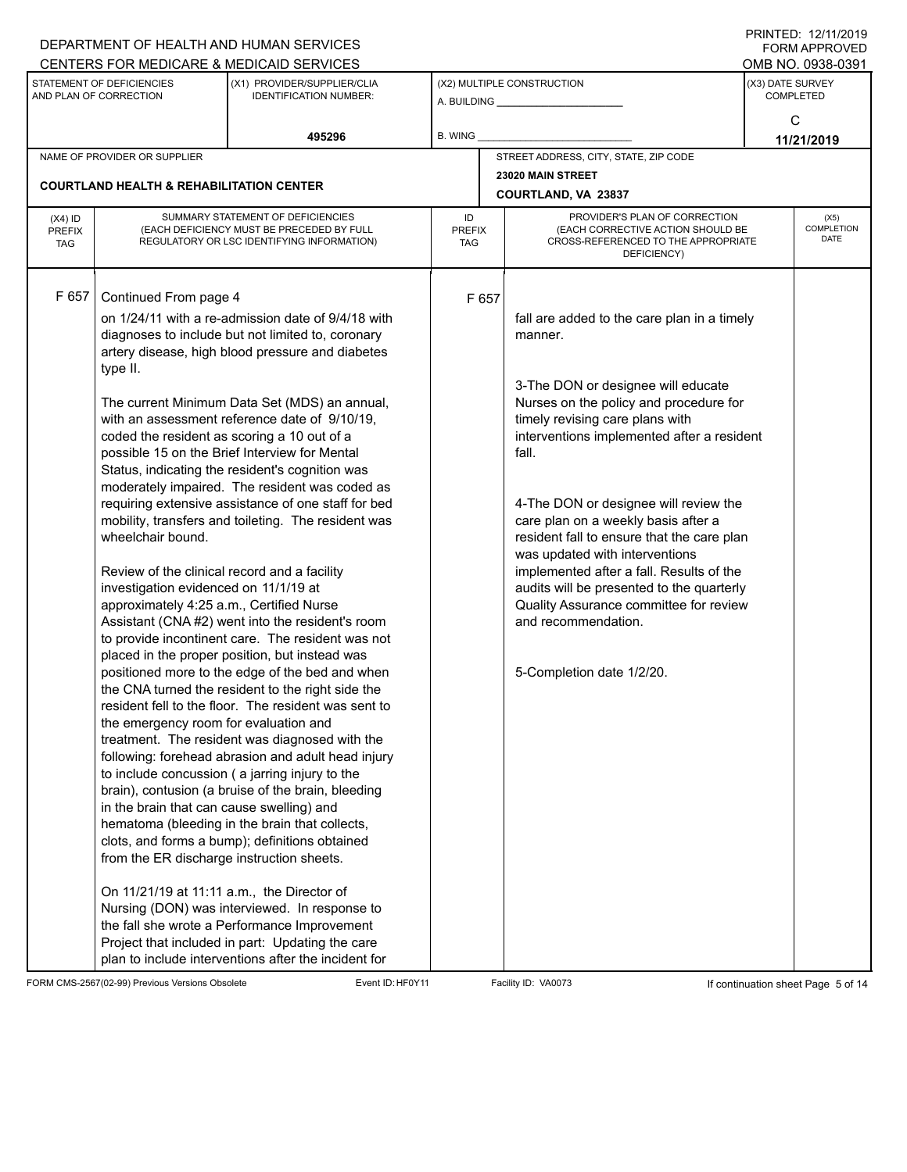|                                          |                                                     | DEPARTMENT OF HEALTH AND HUMAN SERVICES                                                                                      |                            |       |                                                                                                           |  | $1 \times 1 \times 1 = 1$ . $1 \times 1 \times 1 \times 1 = 1$<br><b>FORM APPROVED</b> |
|------------------------------------------|-----------------------------------------------------|------------------------------------------------------------------------------------------------------------------------------|----------------------------|-------|-----------------------------------------------------------------------------------------------------------|--|----------------------------------------------------------------------------------------|
|                                          |                                                     | CENTERS FOR MEDICARE & MEDICAID SERVICES                                                                                     |                            |       |                                                                                                           |  | OMB NO. 0938-0391                                                                      |
|                                          | STATEMENT OF DEFICIENCIES<br>AND PLAN OF CORRECTION | (X1) PROVIDER/SUPPLIER/CLIA<br><b>IDENTIFICATION NUMBER:</b>                                                                 |                            |       | (X2) MULTIPLE CONSTRUCTION<br>A. BUILDING A. BUILDING                                                     |  | (X3) DATE SURVEY<br><b>COMPLETED</b>                                                   |
|                                          |                                                     |                                                                                                                              |                            |       |                                                                                                           |  | C                                                                                      |
|                                          |                                                     | 495296                                                                                                                       | B. WING                    |       |                                                                                                           |  |                                                                                        |
|                                          | NAME OF PROVIDER OR SUPPLIER                        |                                                                                                                              |                            |       | STREET ADDRESS, CITY, STATE, ZIP CODE                                                                     |  | 11/21/2019                                                                             |
|                                          |                                                     |                                                                                                                              |                            |       |                                                                                                           |  |                                                                                        |
|                                          | <b>COURTLAND HEALTH &amp; REHABILITATION CENTER</b> |                                                                                                                              |                            |       | 23020 MAIN STREET<br>COURTLAND, VA 23837                                                                  |  |                                                                                        |
| $(X4)$ ID<br><b>PREFIX</b><br><b>TAG</b> |                                                     | SUMMARY STATEMENT OF DEFICIENCIES<br>(EACH DEFICIENCY MUST BE PRECEDED BY FULL<br>REGULATORY OR LSC IDENTIFYING INFORMATION) | ID<br><b>PREFIX</b><br>TAG |       | PROVIDER'S PLAN OF CORRECTION<br>(EACH CORRECTIVE ACTION SHOULD BE<br>CROSS-REFERENCED TO THE APPROPRIATE |  | (X5)<br><b>COMPLETION</b><br><b>DATE</b>                                               |
|                                          |                                                     |                                                                                                                              | DEFICIENCY)                |       |                                                                                                           |  |                                                                                        |
| F 657                                    |                                                     |                                                                                                                              |                            |       |                                                                                                           |  |                                                                                        |
|                                          | Continued From page 4                               |                                                                                                                              |                            | F 657 |                                                                                                           |  |                                                                                        |
|                                          |                                                     | on 1/24/11 with a re-admission date of 9/4/18 with                                                                           |                            |       | fall are added to the care plan in a timely                                                               |  |                                                                                        |
|                                          |                                                     | diagnoses to include but not limited to, coronary<br>artery disease, high blood pressure and diabetes                        |                            |       | manner.                                                                                                   |  |                                                                                        |
|                                          | type II.                                            |                                                                                                                              |                            |       |                                                                                                           |  |                                                                                        |
|                                          |                                                     |                                                                                                                              |                            |       | 3-The DON or designee will educate                                                                        |  |                                                                                        |
|                                          |                                                     | The current Minimum Data Set (MDS) an annual,                                                                                |                            |       | Nurses on the policy and procedure for                                                                    |  |                                                                                        |
|                                          |                                                     | with an assessment reference date of 9/10/19,                                                                                |                            |       | timely revising care plans with                                                                           |  |                                                                                        |
|                                          |                                                     | coded the resident as scoring a 10 out of a                                                                                  |                            |       | interventions implemented after a resident                                                                |  |                                                                                        |
|                                          |                                                     | possible 15 on the Brief Interview for Mental                                                                                |                            |       | fall.                                                                                                     |  |                                                                                        |
|                                          |                                                     | Status, indicating the resident's cognition was                                                                              |                            |       |                                                                                                           |  |                                                                                        |
|                                          |                                                     | moderately impaired. The resident was coded as                                                                               |                            |       |                                                                                                           |  |                                                                                        |
|                                          |                                                     | requiring extensive assistance of one staff for bed                                                                          |                            |       | 4-The DON or designee will review the                                                                     |  |                                                                                        |
|                                          | wheelchair bound.                                   | mobility, transfers and toileting. The resident was                                                                          |                            |       | care plan on a weekly basis after a<br>resident fall to ensure that the care plan                         |  |                                                                                        |
|                                          |                                                     |                                                                                                                              |                            |       | was updated with interventions                                                                            |  |                                                                                        |
|                                          | Review of the clinical record and a facility        |                                                                                                                              |                            |       | implemented after a fall. Results of the                                                                  |  |                                                                                        |
|                                          | investigation evidenced on 11/1/19 at               |                                                                                                                              |                            |       | audits will be presented to the quarterly                                                                 |  |                                                                                        |
|                                          | approximately 4:25 a.m., Certified Nurse            |                                                                                                                              |                            |       | Quality Assurance committee for review                                                                    |  |                                                                                        |
|                                          |                                                     | Assistant (CNA #2) went into the resident's room                                                                             |                            |       | and recommendation.                                                                                       |  |                                                                                        |
|                                          |                                                     | to provide incontinent care. The resident was not                                                                            |                            |       |                                                                                                           |  |                                                                                        |
|                                          |                                                     | placed in the proper position, but instead was                                                                               |                            |       |                                                                                                           |  |                                                                                        |
|                                          |                                                     | positioned more to the edge of the bed and when                                                                              |                            |       | 5-Completion date 1/2/20.                                                                                 |  |                                                                                        |
|                                          |                                                     | the CNA turned the resident to the right side the<br>resident fell to the floor. The resident was sent to                    |                            |       |                                                                                                           |  |                                                                                        |
|                                          | the emergency room for evaluation and               |                                                                                                                              |                            |       |                                                                                                           |  |                                                                                        |
|                                          |                                                     | treatment. The resident was diagnosed with the                                                                               |                            |       |                                                                                                           |  |                                                                                        |
|                                          |                                                     | following: forehead abrasion and adult head injury                                                                           |                            |       |                                                                                                           |  |                                                                                        |
|                                          |                                                     | to include concussion (a jarring injury to the                                                                               |                            |       |                                                                                                           |  |                                                                                        |
|                                          |                                                     | brain), contusion (a bruise of the brain, bleeding                                                                           |                            |       |                                                                                                           |  |                                                                                        |
|                                          | in the brain that can cause swelling) and           |                                                                                                                              |                            |       |                                                                                                           |  |                                                                                        |
|                                          |                                                     | hematoma (bleeding in the brain that collects,                                                                               |                            |       |                                                                                                           |  |                                                                                        |
|                                          |                                                     | clots, and forms a bump); definitions obtained                                                                               |                            |       |                                                                                                           |  |                                                                                        |
|                                          | from the ER discharge instruction sheets.           |                                                                                                                              |                            |       |                                                                                                           |  |                                                                                        |
|                                          | On 11/21/19 at 11:11 a.m., the Director of          |                                                                                                                              |                            |       |                                                                                                           |  |                                                                                        |
|                                          |                                                     | Nursing (DON) was interviewed. In response to                                                                                |                            |       |                                                                                                           |  |                                                                                        |
|                                          |                                                     | the fall she wrote a Performance Improvement                                                                                 |                            |       |                                                                                                           |  |                                                                                        |
|                                          |                                                     | Project that included in part: Updating the care<br>plan to include interventions after the incident for                     |                            |       |                                                                                                           |  |                                                                                        |

FORM CMS-2567(02-99) Previous Versions Obsolete Event ID: HF0Y11 Facility ID: VA0073 If continuation sheet Page 5 of 14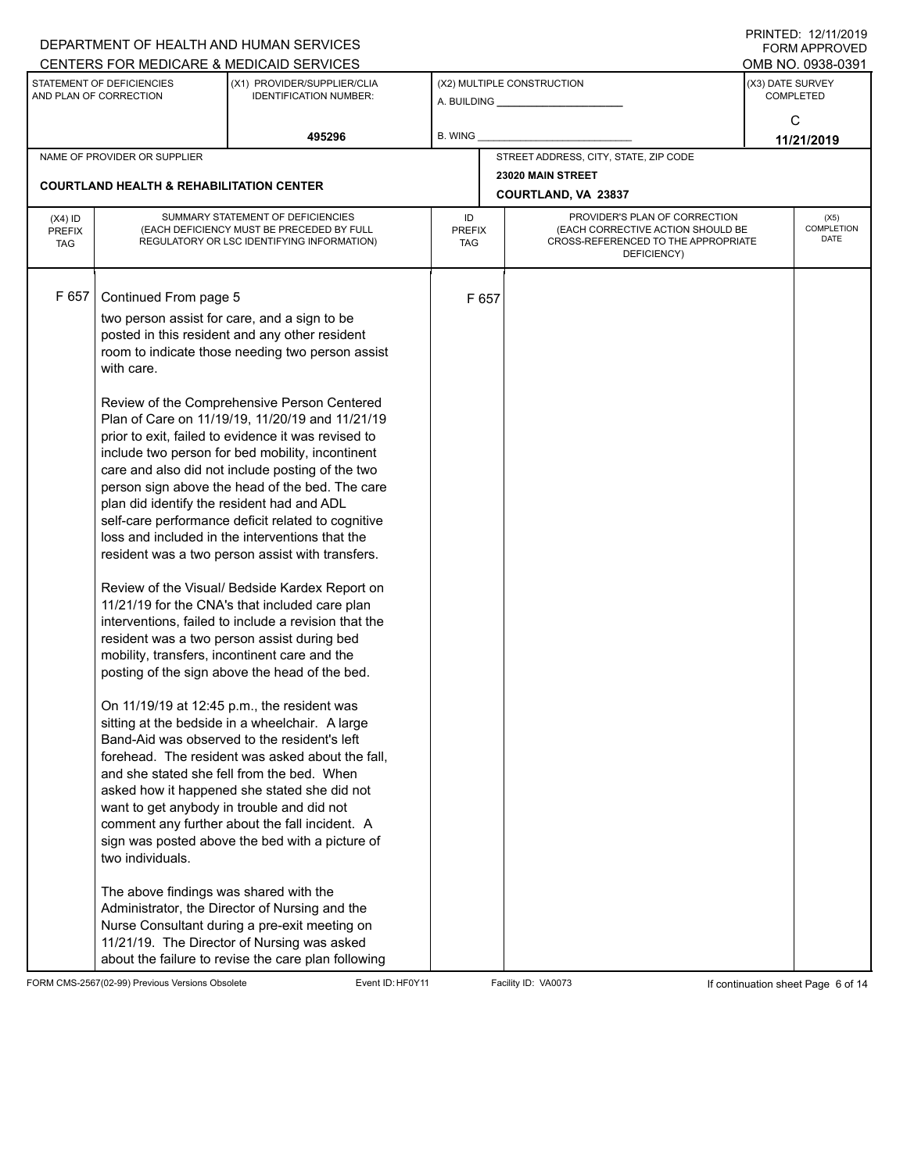|                                          |                                                                                                                                                     | DEPARTMENT OF HEALTH AND HUMAN SERVICES<br>CENTERS FOR MEDICARE & MEDICAID SERVICES                                                                                                                                                                                                                                                                                                                                                                                                                                                                                                                                                                                                                                                                                                                                                                                                                                                                                                                                                                                                                                                                                                                                                                                                                                                                        |                                   |       |                                                                                                                          |                                                                                                                                                            |  |  |  |
|------------------------------------------|-----------------------------------------------------------------------------------------------------------------------------------------------------|------------------------------------------------------------------------------------------------------------------------------------------------------------------------------------------------------------------------------------------------------------------------------------------------------------------------------------------------------------------------------------------------------------------------------------------------------------------------------------------------------------------------------------------------------------------------------------------------------------------------------------------------------------------------------------------------------------------------------------------------------------------------------------------------------------------------------------------------------------------------------------------------------------------------------------------------------------------------------------------------------------------------------------------------------------------------------------------------------------------------------------------------------------------------------------------------------------------------------------------------------------------------------------------------------------------------------------------------------------|-----------------------------------|-------|--------------------------------------------------------------------------------------------------------------------------|------------------------------------------------------------------------------------------------------------------------------------------------------------|--|--|--|
|                                          | STATEMENT OF DEFICIENCIES<br>AND PLAN OF CORRECTION                                                                                                 | (X1) PROVIDER/SUPPLIER/CLIA<br><b>IDENTIFICATION NUMBER:</b>                                                                                                                                                                                                                                                                                                                                                                                                                                                                                                                                                                                                                                                                                                                                                                                                                                                                                                                                                                                                                                                                                                                                                                                                                                                                                               |                                   |       | (X2) MULTIPLE CONSTRUCTION                                                                                               |                                                                                                                                                            |  |  |  |
|                                          |                                                                                                                                                     | 495296                                                                                                                                                                                                                                                                                                                                                                                                                                                                                                                                                                                                                                                                                                                                                                                                                                                                                                                                                                                                                                                                                                                                                                                                                                                                                                                                                     | <b>B. WING</b>                    |       |                                                                                                                          | FININILU. IZIIIIZUIT<br>FORM APPROVED<br>OMB NO. 0938-0391<br>(X3) DATE SURVEY<br><b>COMPLETED</b><br>C<br>11/21/2019<br>(X5)<br>COMPLETION<br><b>DATE</b> |  |  |  |
|                                          | NAME OF PROVIDER OR SUPPLIER                                                                                                                        |                                                                                                                                                                                                                                                                                                                                                                                                                                                                                                                                                                                                                                                                                                                                                                                                                                                                                                                                                                                                                                                                                                                                                                                                                                                                                                                                                            |                                   |       | STREET ADDRESS, CITY, STATE, ZIP CODE                                                                                    |                                                                                                                                                            |  |  |  |
|                                          | <b>COURTLAND HEALTH &amp; REHABILITATION CENTER</b>                                                                                                 |                                                                                                                                                                                                                                                                                                                                                                                                                                                                                                                                                                                                                                                                                                                                                                                                                                                                                                                                                                                                                                                                                                                                                                                                                                                                                                                                                            |                                   |       | 23020 MAIN STREET<br>COURTLAND, VA 23837                                                                                 |                                                                                                                                                            |  |  |  |
| $(X4)$ ID<br><b>PREFIX</b><br><b>TAG</b> |                                                                                                                                                     | SUMMARY STATEMENT OF DEFICIENCIES<br>(EACH DEFICIENCY MUST BE PRECEDED BY FULL<br>REGULATORY OR LSC IDENTIFYING INFORMATION)                                                                                                                                                                                                                                                                                                                                                                                                                                                                                                                                                                                                                                                                                                                                                                                                                                                                                                                                                                                                                                                                                                                                                                                                                               | ID<br><b>PREFIX</b><br><b>TAG</b> |       | PROVIDER'S PLAN OF CORRECTION<br>(EACH CORRECTIVE ACTION SHOULD BE<br>CROSS-REFERENCED TO THE APPROPRIATE<br>DEFICIENCY) |                                                                                                                                                            |  |  |  |
| F 657                                    | Continued From page 5<br>with care.<br>plan did identify the resident had and ADL<br>want to get anybody in trouble and did not<br>two individuals. | two person assist for care, and a sign to be<br>posted in this resident and any other resident<br>room to indicate those needing two person assist<br>Review of the Comprehensive Person Centered<br>Plan of Care on 11/19/19, 11/20/19 and 11/21/19<br>prior to exit, failed to evidence it was revised to<br>include two person for bed mobility, incontinent<br>care and also did not include posting of the two<br>person sign above the head of the bed. The care<br>self-care performance deficit related to cognitive<br>loss and included in the interventions that the<br>resident was a two person assist with transfers.<br>Review of the Visual/ Bedside Kardex Report on<br>11/21/19 for the CNA's that included care plan<br>interventions, failed to include a revision that the<br>resident was a two person assist during bed<br>mobility, transfers, incontinent care and the<br>posting of the sign above the head of the bed.<br>On 11/19/19 at 12:45 p.m., the resident was<br>sitting at the bedside in a wheelchair. A large<br>Band-Aid was observed to the resident's left<br>forehead. The resident was asked about the fall.<br>and she stated she fell from the bed. When<br>asked how it happened she stated she did not<br>comment any further about the fall incident. A<br>sign was posted above the bed with a picture of |                                   | F 657 |                                                                                                                          |                                                                                                                                                            |  |  |  |
|                                          | The above findings was shared with the                                                                                                              | Administrator, the Director of Nursing and the<br>Nurse Consultant during a pre-exit meeting on<br>11/21/19. The Director of Nursing was asked<br>about the failure to revise the care plan following                                                                                                                                                                                                                                                                                                                                                                                                                                                                                                                                                                                                                                                                                                                                                                                                                                                                                                                                                                                                                                                                                                                                                      |                                   |       |                                                                                                                          |                                                                                                                                                            |  |  |  |

FORM CMS-2567(02-99) Previous Versions Obsolete Event ID: HF0Y11 Facility ID: VA0073 If continuation sheet Page 6 of 14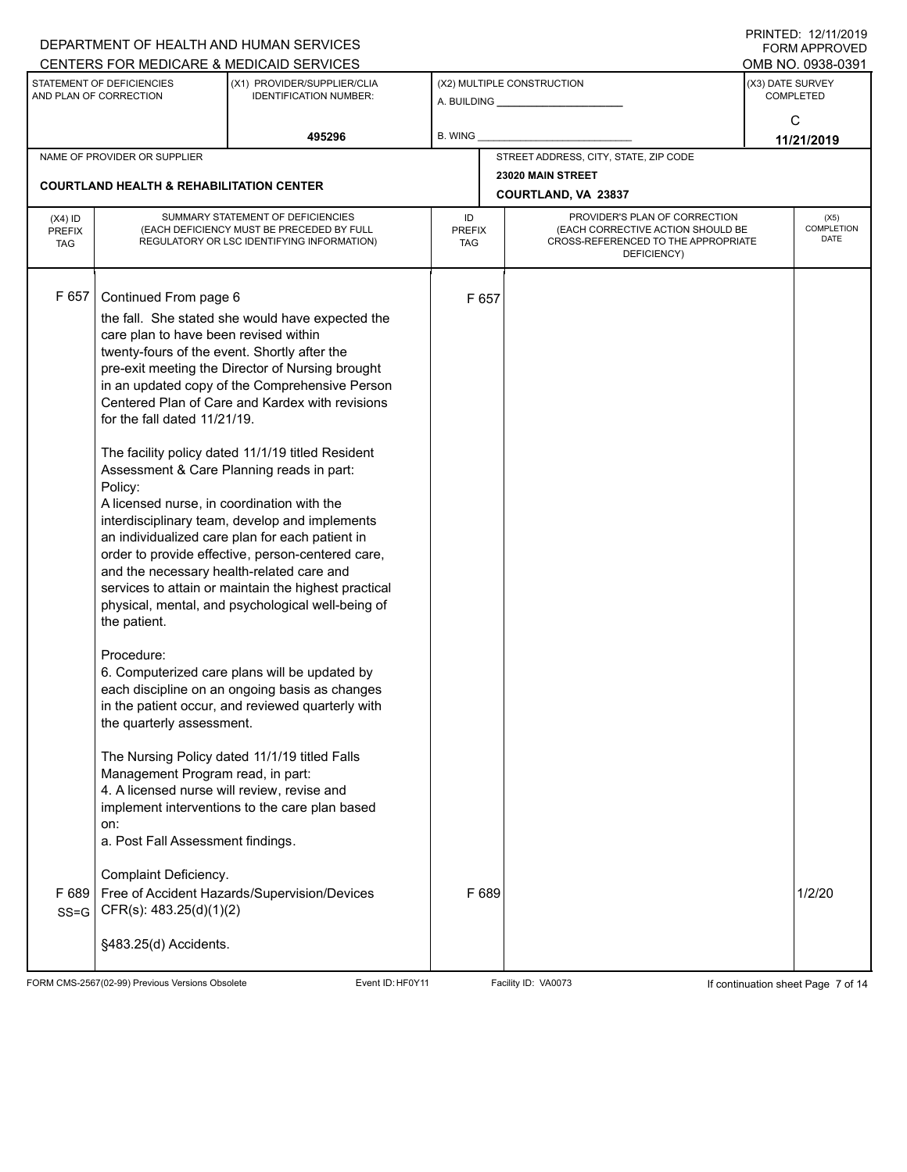| STATEMENT OF DEFICIENCIES<br>(X1) PROVIDER/SUPPLIER/CLIA<br>(X3) DATE SURVEY<br>(X2) MULTIPLE CONSTRUCTION<br><b>COMPLETED</b><br>AND PLAN OF CORRECTION<br><b>IDENTIFICATION NUMBER:</b><br>C<br>495296<br>B. WING<br>11/21/2019<br>STREET ADDRESS, CITY, STATE, ZIP CODE<br>NAME OF PROVIDER OR SUPPLIER<br>23020 MAIN STREET<br><b>COURTLAND HEALTH &amp; REHABILITATION CENTER</b><br><b>COURTLAND, VA 23837</b><br>SUMMARY STATEMENT OF DEFICIENCIES<br>PROVIDER'S PLAN OF CORRECTION<br>ID<br>$(X4)$ ID<br>(EACH DEFICIENCY MUST BE PRECEDED BY FULL<br>(EACH CORRECTIVE ACTION SHOULD BE<br><b>PREFIX</b><br><b>PREFIX</b><br>CROSS-REFERENCED TO THE APPROPRIATE<br>REGULATORY OR LSC IDENTIFYING INFORMATION)<br><b>TAG</b><br><b>TAG</b><br>DEFICIENCY)<br>F 657<br>Continued From page 6<br>F 657<br>the fall. She stated she would have expected the<br>care plan to have been revised within<br>twenty-fours of the event. Shortly after the<br>pre-exit meeting the Director of Nursing brought<br>in an updated copy of the Comprehensive Person<br>Centered Plan of Care and Kardex with revisions<br>for the fall dated 11/21/19.<br>The facility policy dated 11/1/19 titled Resident<br>Assessment & Care Planning reads in part:<br>Policy:<br>A licensed nurse, in coordination with the<br>interdisciplinary team, develop and implements<br>an individualized care plan for each patient in<br>order to provide effective, person-centered care,<br>and the necessary health-related care and<br>services to attain or maintain the highest practical<br>physical, mental, and psychological well-being of<br>the patient.<br>Procedure:<br>6. Computerized care plans will be updated by<br>each discipline on an ongoing basis as changes<br>in the patient occur, and reviewed quarterly with<br>the quarterly assessment.<br>The Nursing Policy dated 11/1/19 titled Falls<br>Management Program read, in part:<br>4. A licensed nurse will review, revise and<br>implement interventions to the care plan based<br>on:<br>a. Post Fall Assessment findings.<br>Complaint Deficiency.<br>F 689<br>Free of Accident Hazards/Supervision/Devices<br>F 689<br>CFR(s): 483.25(d)(1)(2)<br>$SS = G$ |  | DEPARTMENT OF HEALTH AND HUMAN SERVICES<br>CENTERS FOR MEDICARE & MEDICAID SERVICES |  |  | FININILU. IZIIIIZUIT<br><b>FORM APPROVED</b><br>OMB NO. 0938-0391 |
|---------------------------------------------------------------------------------------------------------------------------------------------------------------------------------------------------------------------------------------------------------------------------------------------------------------------------------------------------------------------------------------------------------------------------------------------------------------------------------------------------------------------------------------------------------------------------------------------------------------------------------------------------------------------------------------------------------------------------------------------------------------------------------------------------------------------------------------------------------------------------------------------------------------------------------------------------------------------------------------------------------------------------------------------------------------------------------------------------------------------------------------------------------------------------------------------------------------------------------------------------------------------------------------------------------------------------------------------------------------------------------------------------------------------------------------------------------------------------------------------------------------------------------------------------------------------------------------------------------------------------------------------------------------------------------------------------------------------------------------------------------------------------------------------------------------------------------------------------------------------------------------------------------------------------------------------------------------------------------------------------------------------------------------------------------------------------------------------------------------------------------------------------------------------------------------------------------------------------|--|-------------------------------------------------------------------------------------|--|--|-------------------------------------------------------------------|
|                                                                                                                                                                                                                                                                                                                                                                                                                                                                                                                                                                                                                                                                                                                                                                                                                                                                                                                                                                                                                                                                                                                                                                                                                                                                                                                                                                                                                                                                                                                                                                                                                                                                                                                                                                                                                                                                                                                                                                                                                                                                                                                                                                                                                           |  |                                                                                     |  |  |                                                                   |
|                                                                                                                                                                                                                                                                                                                                                                                                                                                                                                                                                                                                                                                                                                                                                                                                                                                                                                                                                                                                                                                                                                                                                                                                                                                                                                                                                                                                                                                                                                                                                                                                                                                                                                                                                                                                                                                                                                                                                                                                                                                                                                                                                                                                                           |  |                                                                                     |  |  |                                                                   |
|                                                                                                                                                                                                                                                                                                                                                                                                                                                                                                                                                                                                                                                                                                                                                                                                                                                                                                                                                                                                                                                                                                                                                                                                                                                                                                                                                                                                                                                                                                                                                                                                                                                                                                                                                                                                                                                                                                                                                                                                                                                                                                                                                                                                                           |  |                                                                                     |  |  |                                                                   |
|                                                                                                                                                                                                                                                                                                                                                                                                                                                                                                                                                                                                                                                                                                                                                                                                                                                                                                                                                                                                                                                                                                                                                                                                                                                                                                                                                                                                                                                                                                                                                                                                                                                                                                                                                                                                                                                                                                                                                                                                                                                                                                                                                                                                                           |  |                                                                                     |  |  |                                                                   |
|                                                                                                                                                                                                                                                                                                                                                                                                                                                                                                                                                                                                                                                                                                                                                                                                                                                                                                                                                                                                                                                                                                                                                                                                                                                                                                                                                                                                                                                                                                                                                                                                                                                                                                                                                                                                                                                                                                                                                                                                                                                                                                                                                                                                                           |  |                                                                                     |  |  | (X5)<br>COMPLETION<br><b>DATE</b>                                 |
|                                                                                                                                                                                                                                                                                                                                                                                                                                                                                                                                                                                                                                                                                                                                                                                                                                                                                                                                                                                                                                                                                                                                                                                                                                                                                                                                                                                                                                                                                                                                                                                                                                                                                                                                                                                                                                                                                                                                                                                                                                                                                                                                                                                                                           |  |                                                                                     |  |  |                                                                   |
| §483.25(d) Accidents.                                                                                                                                                                                                                                                                                                                                                                                                                                                                                                                                                                                                                                                                                                                                                                                                                                                                                                                                                                                                                                                                                                                                                                                                                                                                                                                                                                                                                                                                                                                                                                                                                                                                                                                                                                                                                                                                                                                                                                                                                                                                                                                                                                                                     |  |                                                                                     |  |  | 1/2/20                                                            |

FORM CMS-2567(02-99) Previous Versions Obsolete Event ID: HF0Y11 Facility ID: VA0073 If continuation sheet Page 7 of 14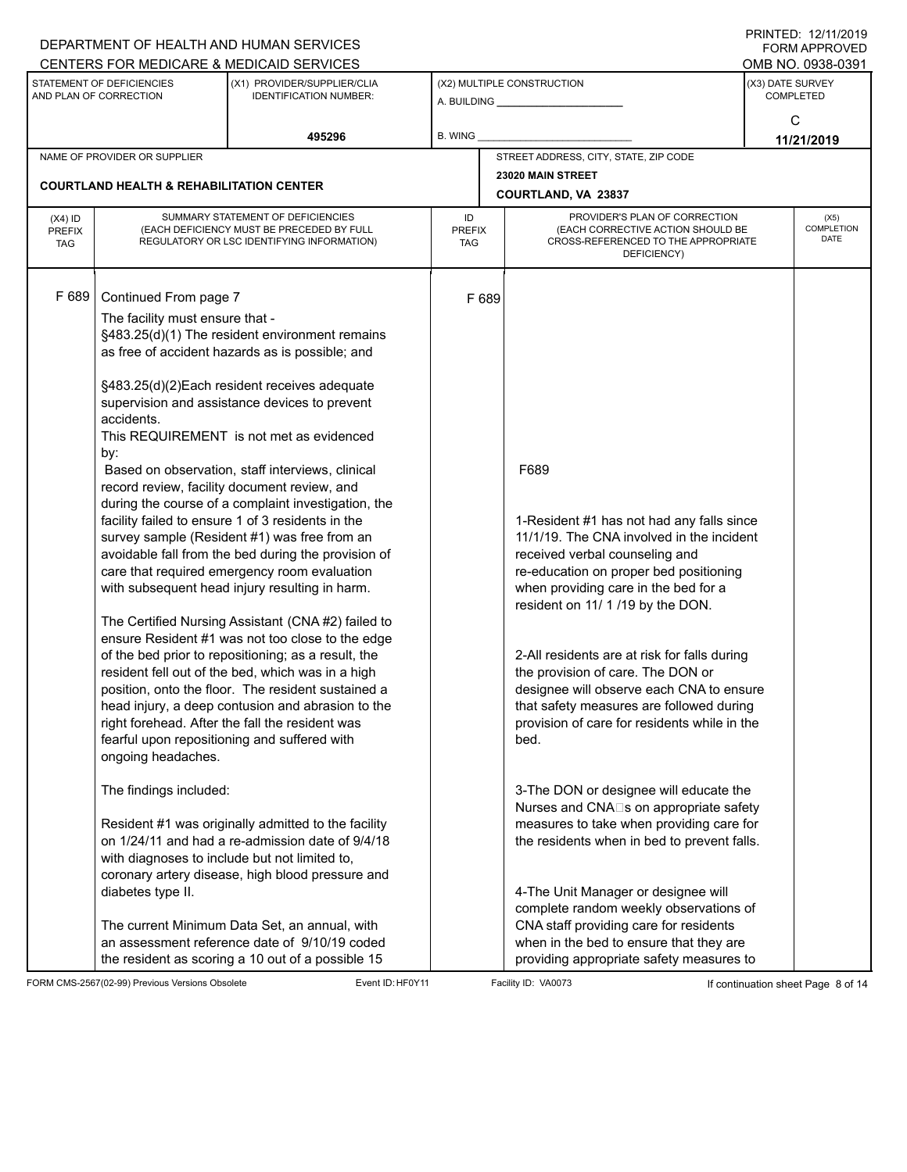|                                          |                                                                               | DEPARTMENT OF HEALTH AND HUMAN SERVICES<br>CENTERS FOR MEDICARE & MEDICAID SERVICES                                                                                                                                                                                                                                                                                                                                                                                                                                                                                                                                                                                                                                                                                                                                                                                                                                                                                                                                                                                                                         |                                   |  |                                                                                                                                                                                                                                                                                                                                                                                                                                                                                             |                                                                                                                                                      |                   |
|------------------------------------------|-------------------------------------------------------------------------------|-------------------------------------------------------------------------------------------------------------------------------------------------------------------------------------------------------------------------------------------------------------------------------------------------------------------------------------------------------------------------------------------------------------------------------------------------------------------------------------------------------------------------------------------------------------------------------------------------------------------------------------------------------------------------------------------------------------------------------------------------------------------------------------------------------------------------------------------------------------------------------------------------------------------------------------------------------------------------------------------------------------------------------------------------------------------------------------------------------------|-----------------------------------|--|---------------------------------------------------------------------------------------------------------------------------------------------------------------------------------------------------------------------------------------------------------------------------------------------------------------------------------------------------------------------------------------------------------------------------------------------------------------------------------------------|------------------------------------------------------------------------------------------------------------------------------------------------------|-------------------|
|                                          | STATEMENT OF DEFICIENCIES<br>AND PLAN OF CORRECTION                           | (X1) PROVIDER/SUPPLIER/CLIA<br><b>IDENTIFICATION NUMBER:</b>                                                                                                                                                                                                                                                                                                                                                                                                                                                                                                                                                                                                                                                                                                                                                                                                                                                                                                                                                                                                                                                |                                   |  | (X2) MULTIPLE CONSTRUCTION                                                                                                                                                                                                                                                                                                                                                                                                                                                                  |                                                                                                                                                      |                   |
|                                          |                                                                               | 495296                                                                                                                                                                                                                                                                                                                                                                                                                                                                                                                                                                                                                                                                                                                                                                                                                                                                                                                                                                                                                                                                                                      | <b>B. WING</b>                    |  |                                                                                                                                                                                                                                                                                                                                                                                                                                                                                             | FININILU. IZ/III/ZUIJ<br><b>FORM APPROVED</b><br>OMB NO. 0938-0391<br>(X3) DATE SURVEY<br><b>COMPLETED</b><br>C<br>11/21/2019<br>(X5)<br><b>DATE</b> |                   |
|                                          | NAME OF PROVIDER OR SUPPLIER                                                  |                                                                                                                                                                                                                                                                                                                                                                                                                                                                                                                                                                                                                                                                                                                                                                                                                                                                                                                                                                                                                                                                                                             |                                   |  | STREET ADDRESS, CITY, STATE, ZIP CODE                                                                                                                                                                                                                                                                                                                                                                                                                                                       |                                                                                                                                                      |                   |
|                                          | <b>COURTLAND HEALTH &amp; REHABILITATION CENTER</b>                           |                                                                                                                                                                                                                                                                                                                                                                                                                                                                                                                                                                                                                                                                                                                                                                                                                                                                                                                                                                                                                                                                                                             |                                   |  | 23020 MAIN STREET<br>COURTLAND, VA 23837                                                                                                                                                                                                                                                                                                                                                                                                                                                    |                                                                                                                                                      |                   |
|                                          |                                                                               |                                                                                                                                                                                                                                                                                                                                                                                                                                                                                                                                                                                                                                                                                                                                                                                                                                                                                                                                                                                                                                                                                                             |                                   |  | PROVIDER'S PLAN OF CORRECTION                                                                                                                                                                                                                                                                                                                                                                                                                                                               |                                                                                                                                                      |                   |
| $(X4)$ ID<br><b>PREFIX</b><br><b>TAG</b> |                                                                               | SUMMARY STATEMENT OF DEFICIENCIES<br>(EACH DEFICIENCY MUST BE PRECEDED BY FULL<br>REGULATORY OR LSC IDENTIFYING INFORMATION)                                                                                                                                                                                                                                                                                                                                                                                                                                                                                                                                                                                                                                                                                                                                                                                                                                                                                                                                                                                | ID<br><b>PREFIX</b><br><b>TAG</b> |  | (EACH CORRECTIVE ACTION SHOULD BE<br>CROSS-REFERENCED TO THE APPROPRIATE<br>DEFICIENCY)                                                                                                                                                                                                                                                                                                                                                                                                     |                                                                                                                                                      | <b>COMPLETION</b> |
| F 689                                    | Continued From page 7<br>The facility must ensure that -<br>accidents.<br>by: | §483.25(d)(1) The resident environment remains<br>as free of accident hazards as is possible; and<br>§483.25(d)(2)Each resident receives adequate<br>supervision and assistance devices to prevent<br>This REQUIREMENT is not met as evidenced<br>Based on observation, staff interviews, clinical<br>record review, facility document review, and<br>during the course of a complaint investigation, the<br>facility failed to ensure 1 of 3 residents in the<br>survey sample (Resident #1) was free from an<br>avoidable fall from the bed during the provision of<br>care that required emergency room evaluation<br>with subsequent head injury resulting in harm.<br>The Certified Nursing Assistant (CNA #2) failed to<br>ensure Resident #1 was not too close to the edge<br>of the bed prior to repositioning; as a result, the<br>resident fell out of the bed, which was in a high<br>position, onto the floor. The resident sustained a<br>head injury, a deep contusion and abrasion to the<br>right forehead. After the fall the resident was<br>fearful upon repositioning and suffered with | F 689                             |  | F689<br>1-Resident #1 has not had any falls since<br>11/1/19. The CNA involved in the incident<br>received verbal counseling and<br>re-education on proper bed positioning<br>when providing care in the bed for a<br>resident on 11/ 1/19 by the DON.<br>2-All residents are at risk for falls during<br>the provision of care. The DON or<br>designee will observe each CNA to ensure<br>that safety measures are followed during<br>provision of care for residents while in the<br>bed. |                                                                                                                                                      |                   |
|                                          | ongoing headaches.<br>The findings included:                                  | Resident #1 was originally admitted to the facility<br>on 1/24/11 and had a re-admission date of 9/4/18                                                                                                                                                                                                                                                                                                                                                                                                                                                                                                                                                                                                                                                                                                                                                                                                                                                                                                                                                                                                     |                                   |  | 3-The DON or designee will educate the<br>Nurses and CNA□s on appropriate safety<br>measures to take when providing care for<br>the residents when in bed to prevent falls.                                                                                                                                                                                                                                                                                                                 |                                                                                                                                                      |                   |
|                                          | with diagnoses to include but not limited to,<br>diabetes type II.            | coronary artery disease, high blood pressure and<br>The current Minimum Data Set, an annual, with<br>an assessment reference date of 9/10/19 coded<br>the resident as scoring a 10 out of a possible 15                                                                                                                                                                                                                                                                                                                                                                                                                                                                                                                                                                                                                                                                                                                                                                                                                                                                                                     |                                   |  | 4-The Unit Manager or designee will<br>complete random weekly observations of<br>CNA staff providing care for residents<br>when in the bed to ensure that they are<br>providing appropriate safety measures to                                                                                                                                                                                                                                                                              |                                                                                                                                                      |                   |

FORM CMS-2567(02-99) Previous Versions Obsolete Event ID: HF0Y11 Facility ID: VA0073 If continuation sheet Page 8 of 14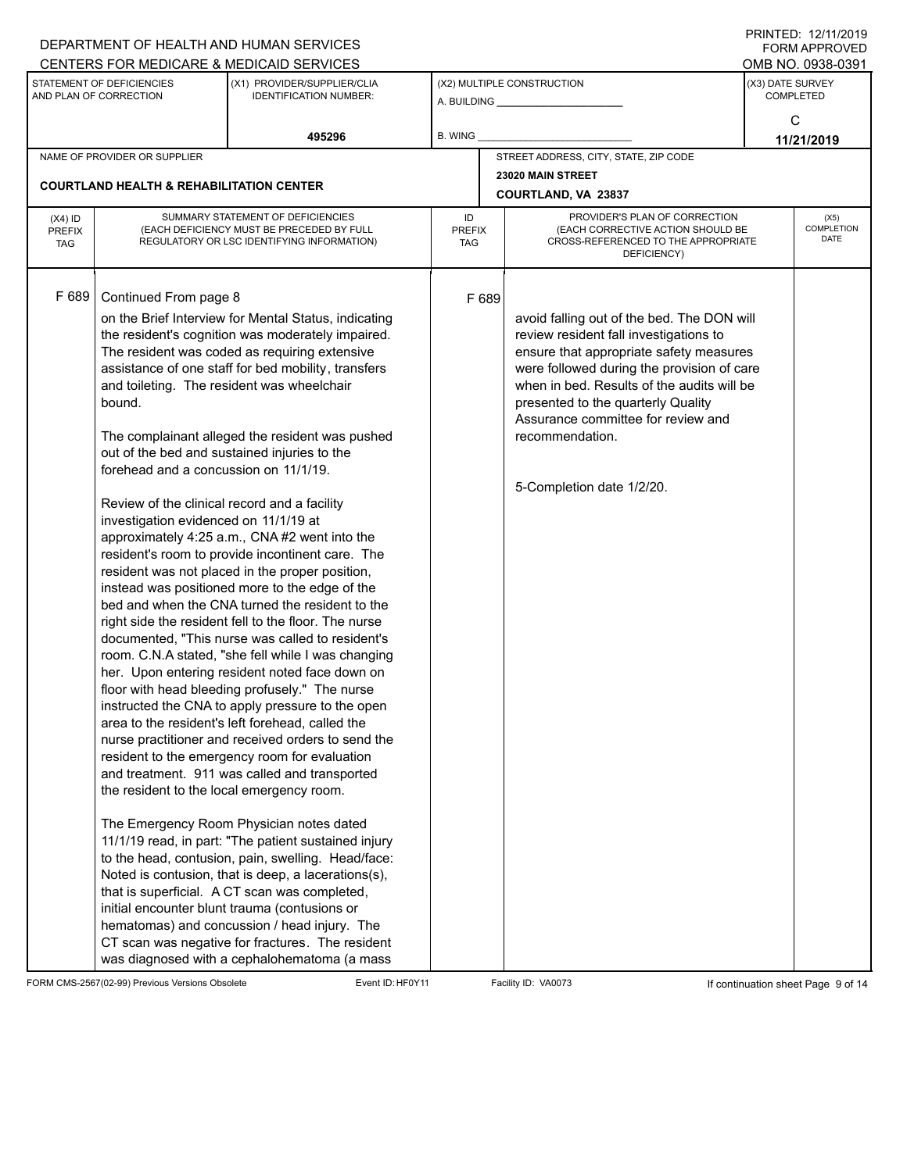|                                          | DEPARTMENT OF HEALTH AND HUMAN SERVICES                                                                                                                                                                                                                        |                                                                                                                                                                                                                                                                                                                                                                                                                                                                                                                                                                                                                                                                                                                                                                                                                                                                                                                                                                                                                                                                                                                                                                                                                                                                                                                                                                                                                                                                                          |                            |       |                                                                                                                                                                                                                                                                                                                                                         | $1 \times 1 \times 1 = 1$ . $1 \times 1 \times 1 \times 1 = 1$<br><b>FORM APPROVED</b> |                   |
|------------------------------------------|----------------------------------------------------------------------------------------------------------------------------------------------------------------------------------------------------------------------------------------------------------------|------------------------------------------------------------------------------------------------------------------------------------------------------------------------------------------------------------------------------------------------------------------------------------------------------------------------------------------------------------------------------------------------------------------------------------------------------------------------------------------------------------------------------------------------------------------------------------------------------------------------------------------------------------------------------------------------------------------------------------------------------------------------------------------------------------------------------------------------------------------------------------------------------------------------------------------------------------------------------------------------------------------------------------------------------------------------------------------------------------------------------------------------------------------------------------------------------------------------------------------------------------------------------------------------------------------------------------------------------------------------------------------------------------------------------------------------------------------------------------------|----------------------------|-------|---------------------------------------------------------------------------------------------------------------------------------------------------------------------------------------------------------------------------------------------------------------------------------------------------------------------------------------------------------|----------------------------------------------------------------------------------------|-------------------|
|                                          |                                                                                                                                                                                                                                                                | CENTERS FOR MEDICARE & MEDICAID SERVICES                                                                                                                                                                                                                                                                                                                                                                                                                                                                                                                                                                                                                                                                                                                                                                                                                                                                                                                                                                                                                                                                                                                                                                                                                                                                                                                                                                                                                                                 |                            |       |                                                                                                                                                                                                                                                                                                                                                         |                                                                                        | OMB NO. 0938-0391 |
|                                          | STATEMENT OF DEFICIENCIES<br>AND PLAN OF CORRECTION                                                                                                                                                                                                            | (X1) PROVIDER/SUPPLIER/CLIA<br><b>IDENTIFICATION NUMBER:</b>                                                                                                                                                                                                                                                                                                                                                                                                                                                                                                                                                                                                                                                                                                                                                                                                                                                                                                                                                                                                                                                                                                                                                                                                                                                                                                                                                                                                                             |                            |       | (X2) MULTIPLE CONSTRUCTION                                                                                                                                                                                                                                                                                                                              | (X3) DATE SURVEY<br><b>COMPLETED</b><br>C<br>11/21/2019<br>(X5)<br>DATE                |                   |
|                                          |                                                                                                                                                                                                                                                                | 495296                                                                                                                                                                                                                                                                                                                                                                                                                                                                                                                                                                                                                                                                                                                                                                                                                                                                                                                                                                                                                                                                                                                                                                                                                                                                                                                                                                                                                                                                                   | B. WING                    |       |                                                                                                                                                                                                                                                                                                                                                         |                                                                                        |                   |
|                                          | NAME OF PROVIDER OR SUPPLIER                                                                                                                                                                                                                                   |                                                                                                                                                                                                                                                                                                                                                                                                                                                                                                                                                                                                                                                                                                                                                                                                                                                                                                                                                                                                                                                                                                                                                                                                                                                                                                                                                                                                                                                                                          |                            |       | STREET ADDRESS, CITY, STATE, ZIP CODE                                                                                                                                                                                                                                                                                                                   |                                                                                        |                   |
|                                          |                                                                                                                                                                                                                                                                |                                                                                                                                                                                                                                                                                                                                                                                                                                                                                                                                                                                                                                                                                                                                                                                                                                                                                                                                                                                                                                                                                                                                                                                                                                                                                                                                                                                                                                                                                          |                            |       | 23020 MAIN STREET                                                                                                                                                                                                                                                                                                                                       |                                                                                        |                   |
|                                          | <b>COURTLAND HEALTH &amp; REHABILITATION CENTER</b>                                                                                                                                                                                                            |                                                                                                                                                                                                                                                                                                                                                                                                                                                                                                                                                                                                                                                                                                                                                                                                                                                                                                                                                                                                                                                                                                                                                                                                                                                                                                                                                                                                                                                                                          |                            |       | COURTLAND, VA 23837                                                                                                                                                                                                                                                                                                                                     |                                                                                        |                   |
| $(X4)$ ID<br><b>PREFIX</b><br><b>TAG</b> |                                                                                                                                                                                                                                                                | SUMMARY STATEMENT OF DEFICIENCIES<br>(EACH DEFICIENCY MUST BE PRECEDED BY FULL<br>REGULATORY OR LSC IDENTIFYING INFORMATION)                                                                                                                                                                                                                                                                                                                                                                                                                                                                                                                                                                                                                                                                                                                                                                                                                                                                                                                                                                                                                                                                                                                                                                                                                                                                                                                                                             | ID<br><b>PREFIX</b><br>TAG |       | PROVIDER'S PLAN OF CORRECTION<br>(EACH CORRECTIVE ACTION SHOULD BE<br>CROSS-REFERENCED TO THE APPROPRIATE<br>DEFICIENCY)                                                                                                                                                                                                                                |                                                                                        | COMPLETION        |
| F 689                                    | Continued From page 8<br>bound.<br>out of the bed and sustained injuries to the<br>forehead and a concussion on 11/1/19.<br>Review of the clinical record and a facility<br>investigation evidenced on 11/1/19 at<br>the resident to the local emergency room. | on the Brief Interview for Mental Status, indicating<br>the resident's cognition was moderately impaired.<br>The resident was coded as requiring extensive<br>assistance of one staff for bed mobility, transfers<br>and toileting. The resident was wheelchair<br>The complainant alleged the resident was pushed<br>approximately 4:25 a.m., CNA #2 went into the<br>resident's room to provide incontinent care. The<br>resident was not placed in the proper position,<br>instead was positioned more to the edge of the<br>bed and when the CNA turned the resident to the<br>right side the resident fell to the floor. The nurse<br>documented, "This nurse was called to resident's<br>room. C.N.A stated, "she fell while I was changing<br>her. Upon entering resident noted face down on<br>floor with head bleeding profusely." The nurse<br>instructed the CNA to apply pressure to the open<br>area to the resident's left forehead, called the<br>nurse practitioner and received orders to send the<br>resident to the emergency room for evaluation<br>and treatment. 911 was called and transported<br>The Emergency Room Physician notes dated<br>11/1/19 read, in part: "The patient sustained injury<br>to the head, contusion, pain, swelling. Head/face:<br>Noted is contusion, that is deep, a lacerations(s),<br>that is superficial. A CT scan was completed,<br>initial encounter blunt trauma (contusions or<br>hematomas) and concussion / head injury. The |                            | F 689 | avoid falling out of the bed. The DON will<br>review resident fall investigations to<br>ensure that appropriate safety measures<br>were followed during the provision of care<br>when in bed. Results of the audits will be<br>presented to the quarterly Quality<br>Assurance committee for review and<br>recommendation.<br>5-Completion date 1/2/20. |                                                                                        |                   |
|                                          |                                                                                                                                                                                                                                                                | CT scan was negative for fractures. The resident<br>was diagnosed with a cephalohematoma (a mass                                                                                                                                                                                                                                                                                                                                                                                                                                                                                                                                                                                                                                                                                                                                                                                                                                                                                                                                                                                                                                                                                                                                                                                                                                                                                                                                                                                         |                            |       |                                                                                                                                                                                                                                                                                                                                                         |                                                                                        |                   |

FORM CMS-2567(02-99) Previous Versions Obsolete Event ID:HF0Y11 Facility ID: VA0073 If continuation sheet Page 9 of 14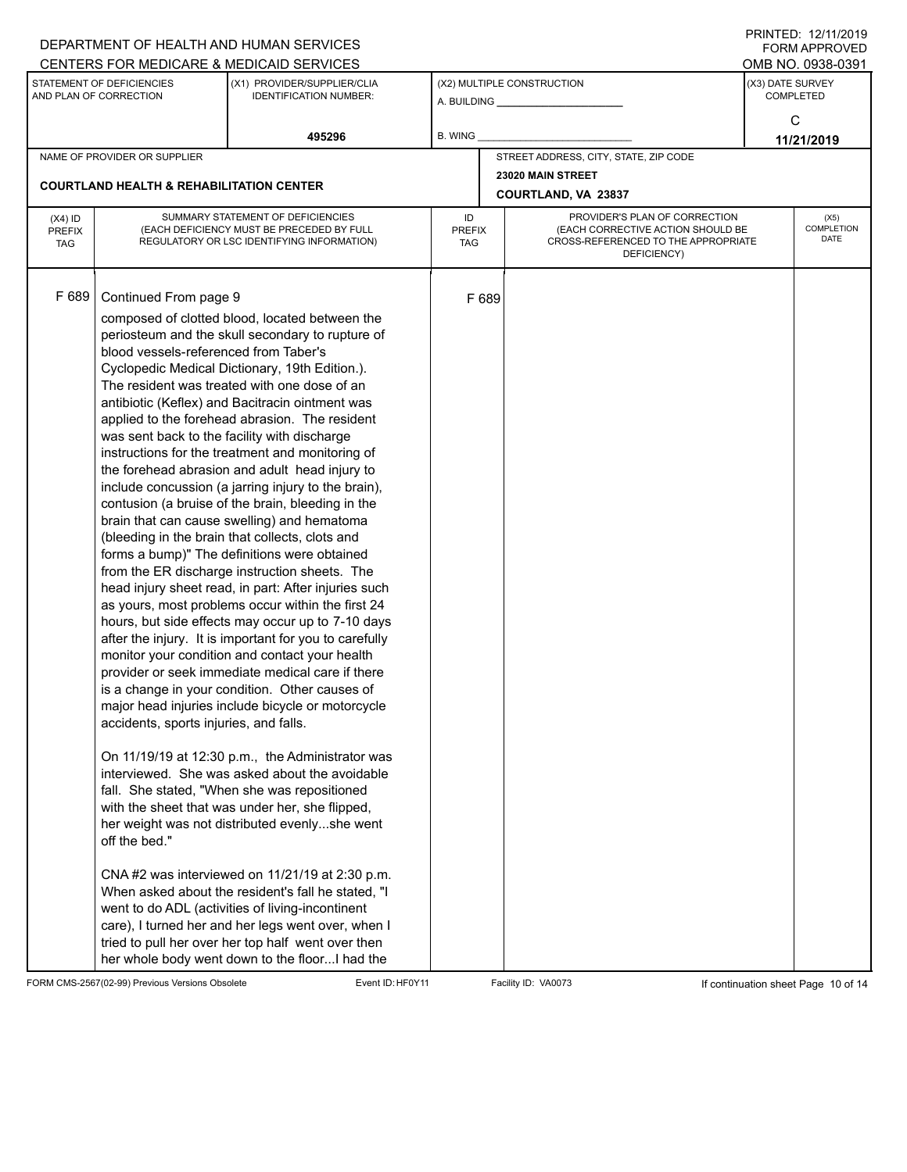|                                          |                                                                                                                                                                           | DEPARTMENT OF HEALTH AND HUMAN SERVICES<br>CENTERS FOR MEDICARE & MEDICAID SERVICES                                                                                                                                                                                                                                                                                                                                                                                                                                                                                                                                                                                                                                                                                                                                                                                                                                                                                                                                                                                                                                                                                                                                                                                                                                                                                                                                                                                                                                                                                                                                                                                                                                                                           |                                   |       |                                                                                                                          |                                      | FININILU. IZIIIIZUIT<br><b>FORM APPROVED</b><br>OMB NO. 0938-0391 |  |  |  |  |
|------------------------------------------|---------------------------------------------------------------------------------------------------------------------------------------------------------------------------|---------------------------------------------------------------------------------------------------------------------------------------------------------------------------------------------------------------------------------------------------------------------------------------------------------------------------------------------------------------------------------------------------------------------------------------------------------------------------------------------------------------------------------------------------------------------------------------------------------------------------------------------------------------------------------------------------------------------------------------------------------------------------------------------------------------------------------------------------------------------------------------------------------------------------------------------------------------------------------------------------------------------------------------------------------------------------------------------------------------------------------------------------------------------------------------------------------------------------------------------------------------------------------------------------------------------------------------------------------------------------------------------------------------------------------------------------------------------------------------------------------------------------------------------------------------------------------------------------------------------------------------------------------------------------------------------------------------------------------------------------------------|-----------------------------------|-------|--------------------------------------------------------------------------------------------------------------------------|--------------------------------------|-------------------------------------------------------------------|--|--|--|--|
|                                          | STATEMENT OF DEFICIENCIES<br>AND PLAN OF CORRECTION                                                                                                                       | (X1) PROVIDER/SUPPLIER/CLIA<br><b>IDENTIFICATION NUMBER:</b>                                                                                                                                                                                                                                                                                                                                                                                                                                                                                                                                                                                                                                                                                                                                                                                                                                                                                                                                                                                                                                                                                                                                                                                                                                                                                                                                                                                                                                                                                                                                                                                                                                                                                                  |                                   |       | (X2) MULTIPLE CONSTRUCTION                                                                                               | (X3) DATE SURVEY<br><b>COMPLETED</b> |                                                                   |  |  |  |  |
|                                          |                                                                                                                                                                           |                                                                                                                                                                                                                                                                                                                                                                                                                                                                                                                                                                                                                                                                                                                                                                                                                                                                                                                                                                                                                                                                                                                                                                                                                                                                                                                                                                                                                                                                                                                                                                                                                                                                                                                                                               |                                   |       |                                                                                                                          |                                      | C                                                                 |  |  |  |  |
|                                          |                                                                                                                                                                           | 495296                                                                                                                                                                                                                                                                                                                                                                                                                                                                                                                                                                                                                                                                                                                                                                                                                                                                                                                                                                                                                                                                                                                                                                                                                                                                                                                                                                                                                                                                                                                                                                                                                                                                                                                                                        | B. WING                           |       |                                                                                                                          |                                      | 11/21/2019                                                        |  |  |  |  |
|                                          | NAME OF PROVIDER OR SUPPLIER                                                                                                                                              |                                                                                                                                                                                                                                                                                                                                                                                                                                                                                                                                                                                                                                                                                                                                                                                                                                                                                                                                                                                                                                                                                                                                                                                                                                                                                                                                                                                                                                                                                                                                                                                                                                                                                                                                                               |                                   |       | STREET ADDRESS, CITY, STATE, ZIP CODE                                                                                    |                                      |                                                                   |  |  |  |  |
|                                          | <b>COURTLAND HEALTH &amp; REHABILITATION CENTER</b>                                                                                                                       |                                                                                                                                                                                                                                                                                                                                                                                                                                                                                                                                                                                                                                                                                                                                                                                                                                                                                                                                                                                                                                                                                                                                                                                                                                                                                                                                                                                                                                                                                                                                                                                                                                                                                                                                                               |                                   |       | 23020 MAIN STREET<br><b>COURTLAND, VA 23837</b>                                                                          |                                      |                                                                   |  |  |  |  |
| $(X4)$ ID<br><b>PREFIX</b><br><b>TAG</b> |                                                                                                                                                                           | SUMMARY STATEMENT OF DEFICIENCIES<br>(EACH DEFICIENCY MUST BE PRECEDED BY FULL<br>REGULATORY OR LSC IDENTIFYING INFORMATION)                                                                                                                                                                                                                                                                                                                                                                                                                                                                                                                                                                                                                                                                                                                                                                                                                                                                                                                                                                                                                                                                                                                                                                                                                                                                                                                                                                                                                                                                                                                                                                                                                                  | ID<br><b>PREFIX</b><br><b>TAG</b> |       | PROVIDER'S PLAN OF CORRECTION<br>(EACH CORRECTIVE ACTION SHOULD BE<br>CROSS-REFERENCED TO THE APPROPRIATE<br>DEFICIENCY) | (X5)<br>COMPLETION<br><b>DATE</b>    |                                                                   |  |  |  |  |
| F 689                                    | Continued From page 9<br>blood vessels-referenced from Taber's<br>was sent back to the facility with discharge<br>accidents, sports injuries, and falls.<br>off the bed." | composed of clotted blood, located between the<br>periosteum and the skull secondary to rupture of<br>Cyclopedic Medical Dictionary, 19th Edition.).<br>The resident was treated with one dose of an<br>antibiotic (Keflex) and Bacitracin ointment was<br>applied to the forehead abrasion. The resident<br>instructions for the treatment and monitoring of<br>the forehead abrasion and adult head injury to<br>include concussion (a jarring injury to the brain),<br>contusion (a bruise of the brain, bleeding in the<br>brain that can cause swelling) and hematoma<br>(bleeding in the brain that collects, clots and<br>forms a bump)" The definitions were obtained<br>from the ER discharge instruction sheets. The<br>head injury sheet read, in part: After injuries such<br>as yours, most problems occur within the first 24<br>hours, but side effects may occur up to 7-10 days<br>after the injury. It is important for you to carefully<br>monitor your condition and contact your health<br>provider or seek immediate medical care if there<br>is a change in your condition. Other causes of<br>major head injuries include bicycle or motorcycle<br>On 11/19/19 at 12:30 p.m., the Administrator was<br>interviewed. She was asked about the avoidable<br>fall. She stated, "When she was repositioned<br>with the sheet that was under her, she flipped,<br>her weight was not distributed evenlyshe went<br>CNA #2 was interviewed on 11/21/19 at 2:30 p.m.<br>When asked about the resident's fall he stated, "I<br>went to do ADL (activities of living-incontinent<br>care), I turned her and her legs went over, when I<br>tried to pull her over her top half went over then<br>her whole body went down to the floor I had the |                                   | F 689 |                                                                                                                          |                                      |                                                                   |  |  |  |  |

FORM CMS-2567(02-99) Previous Versions Obsolete Event ID: HF0Y11 Facility ID: VA0073 If continuation sheet Page 10 of 14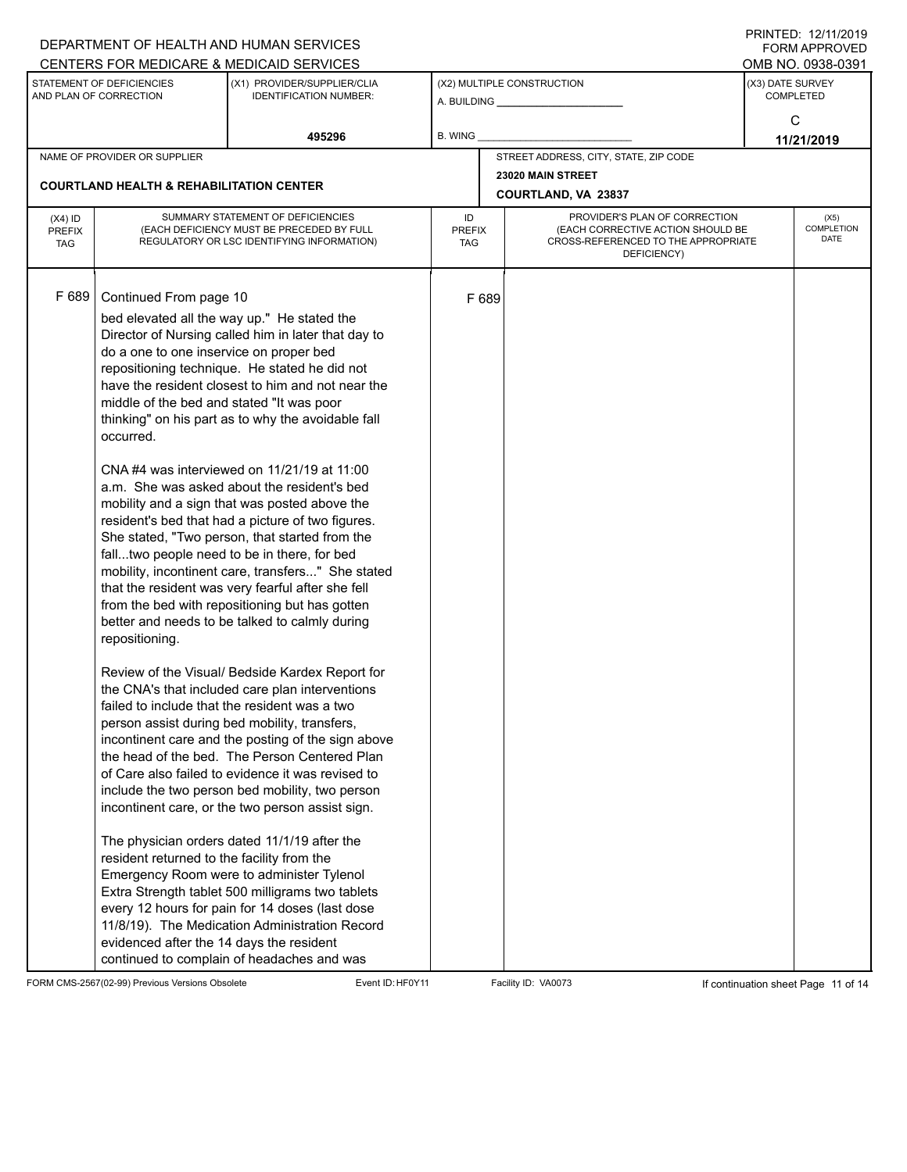|                                          |                                                                                                                                                                                                                                         | DEPARTMENT OF HEALTH AND HUMAN SERVICES<br>CENTERS FOR MEDICARE & MEDICAID SERVICES                                                                                                                                                                                                                                                                                                                                                                                                                                                                                                                                                                                                                                                                                                                                                                                                                                                                                                                                                                                                                                                                                                                                                                                                                                                                                                                                                                                                                                                                             |                                   |       |                                                                                                                          |                                          | FININLEU. 12/11/ZUIJ<br><b>FORM APPROVED</b><br>OMB NO. 0938-0391 |
|------------------------------------------|-----------------------------------------------------------------------------------------------------------------------------------------------------------------------------------------------------------------------------------------|-----------------------------------------------------------------------------------------------------------------------------------------------------------------------------------------------------------------------------------------------------------------------------------------------------------------------------------------------------------------------------------------------------------------------------------------------------------------------------------------------------------------------------------------------------------------------------------------------------------------------------------------------------------------------------------------------------------------------------------------------------------------------------------------------------------------------------------------------------------------------------------------------------------------------------------------------------------------------------------------------------------------------------------------------------------------------------------------------------------------------------------------------------------------------------------------------------------------------------------------------------------------------------------------------------------------------------------------------------------------------------------------------------------------------------------------------------------------------------------------------------------------------------------------------------------------|-----------------------------------|-------|--------------------------------------------------------------------------------------------------------------------------|------------------------------------------|-------------------------------------------------------------------|
|                                          | STATEMENT OF DEFICIENCIES<br>AND PLAN OF CORRECTION                                                                                                                                                                                     | (X1) PROVIDER/SUPPLIER/CLIA<br><b>IDENTIFICATION NUMBER:</b>                                                                                                                                                                                                                                                                                                                                                                                                                                                                                                                                                                                                                                                                                                                                                                                                                                                                                                                                                                                                                                                                                                                                                                                                                                                                                                                                                                                                                                                                                                    |                                   |       | (X2) MULTIPLE CONSTRUCTION                                                                                               |                                          | (X3) DATE SURVEY<br><b>COMPLETED</b>                              |
|                                          |                                                                                                                                                                                                                                         | 495296                                                                                                                                                                                                                                                                                                                                                                                                                                                                                                                                                                                                                                                                                                                                                                                                                                                                                                                                                                                                                                                                                                                                                                                                                                                                                                                                                                                                                                                                                                                                                          | <b>B. WING</b>                    |       |                                                                                                                          |                                          | C<br>11/21/2019                                                   |
|                                          | NAME OF PROVIDER OR SUPPLIER                                                                                                                                                                                                            |                                                                                                                                                                                                                                                                                                                                                                                                                                                                                                                                                                                                                                                                                                                                                                                                                                                                                                                                                                                                                                                                                                                                                                                                                                                                                                                                                                                                                                                                                                                                                                 |                                   |       | STREET ADDRESS, CITY, STATE, ZIP CODE                                                                                    |                                          |                                                                   |
|                                          | <b>COURTLAND HEALTH &amp; REHABILITATION CENTER</b>                                                                                                                                                                                     |                                                                                                                                                                                                                                                                                                                                                                                                                                                                                                                                                                                                                                                                                                                                                                                                                                                                                                                                                                                                                                                                                                                                                                                                                                                                                                                                                                                                                                                                                                                                                                 |                                   |       | 23020 MAIN STREET<br><b>COURTLAND, VA 23837</b>                                                                          |                                          |                                                                   |
| $(X4)$ ID<br><b>PREFIX</b><br><b>TAG</b> |                                                                                                                                                                                                                                         | SUMMARY STATEMENT OF DEFICIENCIES<br>(EACH DEFICIENCY MUST BE PRECEDED BY FULL<br>REGULATORY OR LSC IDENTIFYING INFORMATION)                                                                                                                                                                                                                                                                                                                                                                                                                                                                                                                                                                                                                                                                                                                                                                                                                                                                                                                                                                                                                                                                                                                                                                                                                                                                                                                                                                                                                                    | ID<br><b>PREFIX</b><br><b>TAG</b> |       | PROVIDER'S PLAN OF CORRECTION<br>(EACH CORRECTIVE ACTION SHOULD BE<br>CROSS-REFERENCED TO THE APPROPRIATE<br>DEFICIENCY) | (X5)<br><b>COMPLETION</b><br><b>DATE</b> |                                                                   |
| F 689                                    | Continued From page 10<br>do a one to one inservice on proper bed<br>middle of the bed and stated "It was poor<br>occurred.<br>repositioning.<br>resident returned to the facility from the<br>evidenced after the 14 days the resident | bed elevated all the way up." He stated the<br>Director of Nursing called him in later that day to<br>repositioning technique. He stated he did not<br>have the resident closest to him and not near the<br>thinking" on his part as to why the avoidable fall<br>CNA#4 was interviewed on 11/21/19 at 11:00<br>a.m. She was asked about the resident's bed<br>mobility and a sign that was posted above the<br>resident's bed that had a picture of two figures.<br>She stated, "Two person, that started from the<br>falltwo people need to be in there, for bed<br>mobility, incontinent care, transfers" She stated<br>that the resident was very fearful after she fell<br>from the bed with repositioning but has gotten<br>better and needs to be talked to calmly during<br>Review of the Visual/ Bedside Kardex Report for<br>the CNA's that included care plan interventions<br>failed to include that the resident was a two<br>person assist during bed mobility, transfers,<br>incontinent care and the posting of the sign above<br>the head of the bed. The Person Centered Plan<br>of Care also failed to evidence it was revised to<br>include the two person bed mobility, two person<br>incontinent care, or the two person assist sign.<br>The physician orders dated 11/1/19 after the<br>Emergency Room were to administer Tylenol<br>Extra Strength tablet 500 milligrams two tablets<br>every 12 hours for pain for 14 doses (last dose<br>11/8/19). The Medication Administration Record<br>continued to complain of headaches and was |                                   | F 689 |                                                                                                                          |                                          |                                                                   |

FORM CMS-2567(02-99) Previous Versions Obsolete Event ID:HF0Y11 Facility ID: VA0073 If continuation sheet Page 11 of 14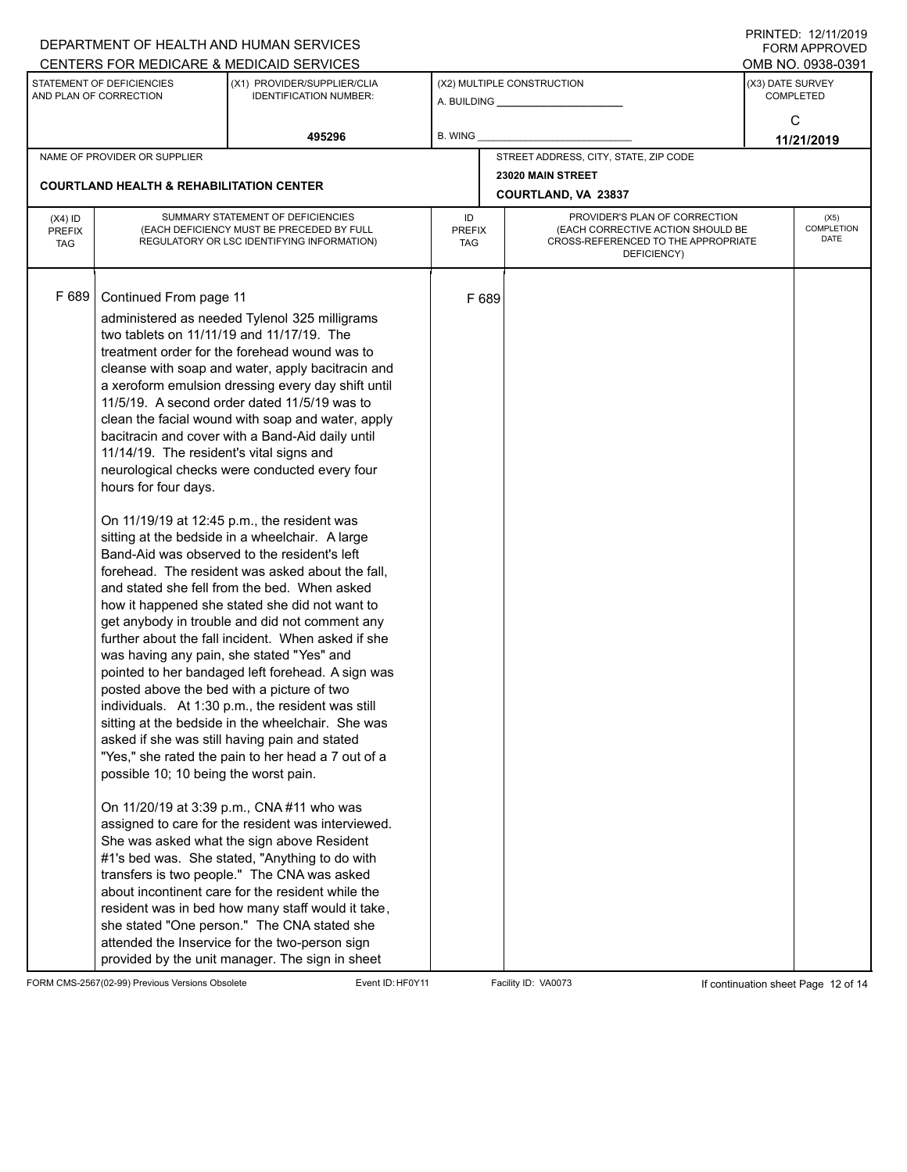|                                          |                                                                                                                                                                                                                                                                             | DEPARTMENT OF HEALTH AND HUMAN SERVICES<br>CENTERS FOR MEDICARE & MEDICAID SERVICES                                                                                                                                                                                                                                                                                                                                                                                                                                                                                                                                                                                                                                                                                                                                                                                                                                                                                                                                                                                                                                                                                                                                                                                                                                                                                                                                                                                                                                                                                                                                       |                                   |                            |                                                                                                                          |                                          | FININLEU. 12/11/ZUIJ<br><b>FORM APPROVED</b><br>OMB NO. 0938-0391 |  |
|------------------------------------------|-----------------------------------------------------------------------------------------------------------------------------------------------------------------------------------------------------------------------------------------------------------------------------|---------------------------------------------------------------------------------------------------------------------------------------------------------------------------------------------------------------------------------------------------------------------------------------------------------------------------------------------------------------------------------------------------------------------------------------------------------------------------------------------------------------------------------------------------------------------------------------------------------------------------------------------------------------------------------------------------------------------------------------------------------------------------------------------------------------------------------------------------------------------------------------------------------------------------------------------------------------------------------------------------------------------------------------------------------------------------------------------------------------------------------------------------------------------------------------------------------------------------------------------------------------------------------------------------------------------------------------------------------------------------------------------------------------------------------------------------------------------------------------------------------------------------------------------------------------------------------------------------------------------------|-----------------------------------|----------------------------|--------------------------------------------------------------------------------------------------------------------------|------------------------------------------|-------------------------------------------------------------------|--|
|                                          | STATEMENT OF DEFICIENCIES<br>AND PLAN OF CORRECTION                                                                                                                                                                                                                         | (X1) PROVIDER/SUPPLIER/CLIA<br><b>IDENTIFICATION NUMBER:</b>                                                                                                                                                                                                                                                                                                                                                                                                                                                                                                                                                                                                                                                                                                                                                                                                                                                                                                                                                                                                                                                                                                                                                                                                                                                                                                                                                                                                                                                                                                                                                              |                                   | (X2) MULTIPLE CONSTRUCTION |                                                                                                                          | (X3) DATE SURVEY                         | <b>COMPLETED</b><br>C                                             |  |
|                                          |                                                                                                                                                                                                                                                                             | 495296                                                                                                                                                                                                                                                                                                                                                                                                                                                                                                                                                                                                                                                                                                                                                                                                                                                                                                                                                                                                                                                                                                                                                                                                                                                                                                                                                                                                                                                                                                                                                                                                                    | <b>B. WING</b>                    |                            |                                                                                                                          |                                          | 11/21/2019                                                        |  |
|                                          | NAME OF PROVIDER OR SUPPLIER                                                                                                                                                                                                                                                |                                                                                                                                                                                                                                                                                                                                                                                                                                                                                                                                                                                                                                                                                                                                                                                                                                                                                                                                                                                                                                                                                                                                                                                                                                                                                                                                                                                                                                                                                                                                                                                                                           |                                   |                            | STREET ADDRESS, CITY, STATE, ZIP CODE                                                                                    |                                          |                                                                   |  |
|                                          | <b>COURTLAND HEALTH &amp; REHABILITATION CENTER</b>                                                                                                                                                                                                                         |                                                                                                                                                                                                                                                                                                                                                                                                                                                                                                                                                                                                                                                                                                                                                                                                                                                                                                                                                                                                                                                                                                                                                                                                                                                                                                                                                                                                                                                                                                                                                                                                                           |                                   |                            | 23020 MAIN STREET<br><b>COURTLAND, VA 23837</b>                                                                          |                                          |                                                                   |  |
| $(X4)$ ID<br><b>PREFIX</b><br><b>TAG</b> |                                                                                                                                                                                                                                                                             | SUMMARY STATEMENT OF DEFICIENCIES<br>(EACH DEFICIENCY MUST BE PRECEDED BY FULL<br>REGULATORY OR LSC IDENTIFYING INFORMATION)                                                                                                                                                                                                                                                                                                                                                                                                                                                                                                                                                                                                                                                                                                                                                                                                                                                                                                                                                                                                                                                                                                                                                                                                                                                                                                                                                                                                                                                                                              | ID<br><b>PREFIX</b><br><b>TAG</b> |                            | PROVIDER'S PLAN OF CORRECTION<br>(EACH CORRECTIVE ACTION SHOULD BE<br>CROSS-REFERENCED TO THE APPROPRIATE<br>DEFICIENCY) | (X5)<br><b>COMPLETION</b><br><b>DATE</b> |                                                                   |  |
| F 689                                    | Continued From page 11<br>two tablets on 11/11/19 and 11/17/19. The<br>11/14/19. The resident's vital signs and<br>hours for four days.<br>was having any pain, she stated "Yes" and<br>posted above the bed with a picture of two<br>possible 10; 10 being the worst pain. | administered as needed Tylenol 325 milligrams<br>treatment order for the forehead wound was to<br>cleanse with soap and water, apply bacitracin and<br>a xeroform emulsion dressing every day shift until<br>11/5/19. A second order dated 11/5/19 was to<br>clean the facial wound with soap and water, apply<br>bacitracin and cover with a Band-Aid daily until<br>neurological checks were conducted every four<br>On 11/19/19 at 12:45 p.m., the resident was<br>sitting at the bedside in a wheelchair. A large<br>Band-Aid was observed to the resident's left<br>forehead. The resident was asked about the fall,<br>and stated she fell from the bed. When asked<br>how it happened she stated she did not want to<br>get anybody in trouble and did not comment any<br>further about the fall incident. When asked if she<br>pointed to her bandaged left forehead. A sign was<br>individuals. At 1:30 p.m., the resident was still<br>sitting at the bedside in the wheelchair. She was<br>asked if she was still having pain and stated<br>"Yes," she rated the pain to her head a 7 out of a<br>On 11/20/19 at 3:39 p.m., CNA #11 who was<br>assigned to care for the resident was interviewed.<br>She was asked what the sign above Resident<br>#1's bed was. She stated, "Anything to do with<br>transfers is two people." The CNA was asked<br>about incontinent care for the resident while the<br>resident was in bed how many staff would it take,<br>she stated "One person." The CNA stated she<br>attended the Inservice for the two-person sign<br>provided by the unit manager. The sign in sheet |                                   | F 689                      |                                                                                                                          |                                          |                                                                   |  |

FORM CMS-2567(02-99) Previous Versions Obsolete Event ID: HF0Y11 Facility ID: VA0073 If continuation sheet Page 12 of 14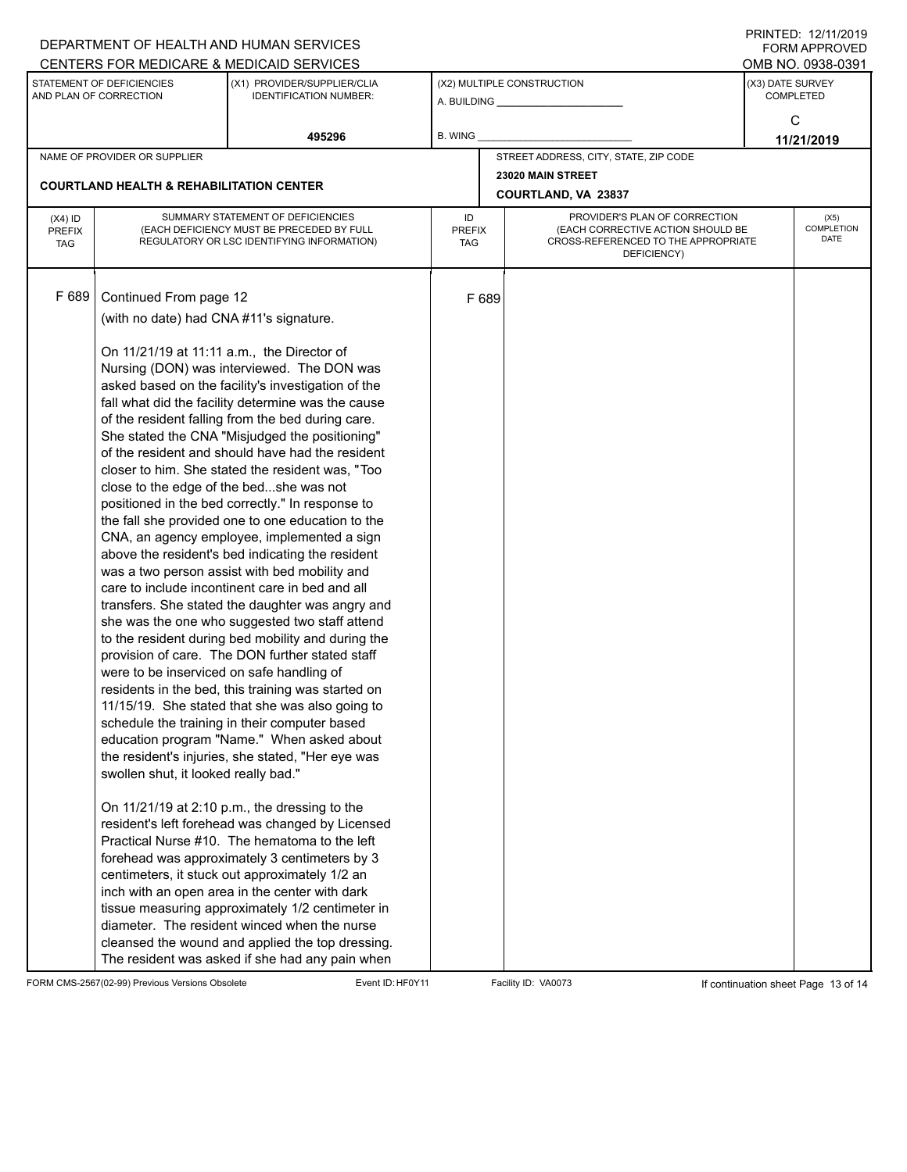| DEPARTMENT OF HEALTH AND HUMAN SERVICES                                                         | FININILU. IZIIIIZUIT<br><b>FORM APPROVED</b><br>OMB NO. 0938-0391                                                                                                                                                                                                                                                                                                                                                                                                                                                                                                                                                                                                                                                                                                                                                                                                                                                                                                                                                                                                                                                                                                                                                                                                                                                                                                                                                                                                                                                                                                                                                                                                                                                                                                                                                                                                                                                                                                                                 |                                                              |                  |                        |                                                                                                                          |                                                         |  |  |
|-------------------------------------------------------------------------------------------------|---------------------------------------------------------------------------------------------------------------------------------------------------------------------------------------------------------------------------------------------------------------------------------------------------------------------------------------------------------------------------------------------------------------------------------------------------------------------------------------------------------------------------------------------------------------------------------------------------------------------------------------------------------------------------------------------------------------------------------------------------------------------------------------------------------------------------------------------------------------------------------------------------------------------------------------------------------------------------------------------------------------------------------------------------------------------------------------------------------------------------------------------------------------------------------------------------------------------------------------------------------------------------------------------------------------------------------------------------------------------------------------------------------------------------------------------------------------------------------------------------------------------------------------------------------------------------------------------------------------------------------------------------------------------------------------------------------------------------------------------------------------------------------------------------------------------------------------------------------------------------------------------------------------------------------------------------------------------------------------------------|--------------------------------------------------------------|------------------|------------------------|--------------------------------------------------------------------------------------------------------------------------|---------------------------------------------------------|--|--|
| CENTERS FOR MEDICARE & MEDICAID SERVICES<br>STATEMENT OF DEFICIENCIES<br>AND PLAN OF CORRECTION |                                                                                                                                                                                                                                                                                                                                                                                                                                                                                                                                                                                                                                                                                                                                                                                                                                                                                                                                                                                                                                                                                                                                                                                                                                                                                                                                                                                                                                                                                                                                                                                                                                                                                                                                                                                                                                                                                                                                                                                                   | (X1) PROVIDER/SUPPLIER/CLIA<br><b>IDENTIFICATION NUMBER:</b> |                  |                        | (X2) MULTIPLE CONSTRUCTION                                                                                               | (X3) DATE SURVEY<br><b>COMPLETED</b><br>C<br>11/21/2019 |  |  |
|                                                                                                 |                                                                                                                                                                                                                                                                                                                                                                                                                                                                                                                                                                                                                                                                                                                                                                                                                                                                                                                                                                                                                                                                                                                                                                                                                                                                                                                                                                                                                                                                                                                                                                                                                                                                                                                                                                                                                                                                                                                                                                                                   | 495296                                                       | <b>B. WING</b>   |                        |                                                                                                                          |                                                         |  |  |
|                                                                                                 | NAME OF PROVIDER OR SUPPLIER                                                                                                                                                                                                                                                                                                                                                                                                                                                                                                                                                                                                                                                                                                                                                                                                                                                                                                                                                                                                                                                                                                                                                                                                                                                                                                                                                                                                                                                                                                                                                                                                                                                                                                                                                                                                                                                                                                                                                                      |                                                              |                  |                        | STREET ADDRESS, CITY, STATE, ZIP CODE                                                                                    |                                                         |  |  |
|                                                                                                 |                                                                                                                                                                                                                                                                                                                                                                                                                                                                                                                                                                                                                                                                                                                                                                                                                                                                                                                                                                                                                                                                                                                                                                                                                                                                                                                                                                                                                                                                                                                                                                                                                                                                                                                                                                                                                                                                                                                                                                                                   |                                                              |                  |                        | 23020 MAIN STREET                                                                                                        |                                                         |  |  |
|                                                                                                 |                                                                                                                                                                                                                                                                                                                                                                                                                                                                                                                                                                                                                                                                                                                                                                                                                                                                                                                                                                                                                                                                                                                                                                                                                                                                                                                                                                                                                                                                                                                                                                                                                                                                                                                                                                                                                                                                                                                                                                                                   |                                                              |                  |                        | <b>COURTLAND, VA 23837</b>                                                                                               |                                                         |  |  |
| $(X4)$ ID<br><b>PREFIX</b><br><b>TAG</b>                                                        | SUMMARY STATEMENT OF DEFICIENCIES<br>(EACH DEFICIENCY MUST BE PRECEDED BY FULL<br>REGULATORY OR LSC IDENTIFYING INFORMATION)                                                                                                                                                                                                                                                                                                                                                                                                                                                                                                                                                                                                                                                                                                                                                                                                                                                                                                                                                                                                                                                                                                                                                                                                                                                                                                                                                                                                                                                                                                                                                                                                                                                                                                                                                                                                                                                                      |                                                              | ID<br><b>TAG</b> |                        | PROVIDER'S PLAN OF CORRECTION<br>(EACH CORRECTIVE ACTION SHOULD BE<br>CROSS-REFERENCED TO THE APPROPRIATE<br>DEFICIENCY) | (X5)<br>COMPLETION<br><b>DATE</b>                       |  |  |
| F 689                                                                                           | <b>COURTLAND HEALTH &amp; REHABILITATION CENTER</b><br>Continued From page 12<br>(with no date) had CNA #11's signature.<br>On 11/21/19 at 11:11 a.m., the Director of<br>Nursing (DON) was interviewed. The DON was<br>asked based on the facility's investigation of the<br>fall what did the facility determine was the cause<br>of the resident falling from the bed during care.<br>She stated the CNA "Misjudged the positioning"<br>of the resident and should have had the resident<br>closer to him. She stated the resident was, "Too<br>close to the edge of the bedshe was not<br>positioned in the bed correctly." In response to<br>the fall she provided one to one education to the<br>CNA, an agency employee, implemented a sign<br>above the resident's bed indicating the resident<br>was a two person assist with bed mobility and<br>care to include incontinent care in bed and all<br>transfers. She stated the daughter was angry and<br>she was the one who suggested two staff attend<br>to the resident during bed mobility and during the<br>provision of care. The DON further stated staff<br>were to be inserviced on safe handling of<br>residents in the bed, this training was started on<br>11/15/19. She stated that she was also going to<br>schedule the training in their computer based<br>education program "Name." When asked about<br>the resident's injuries, she stated, "Her eye was<br>swollen shut, it looked really bad."<br>On 11/21/19 at 2:10 p.m., the dressing to the<br>resident's left forehead was changed by Licensed<br>Practical Nurse #10. The hematoma to the left<br>forehead was approximately 3 centimeters by 3<br>centimeters, it stuck out approximately 1/2 an<br>inch with an open area in the center with dark<br>tissue measuring approximately 1/2 centimeter in<br>diameter. The resident winced when the nurse<br>cleansed the wound and applied the top dressing.<br>The resident was asked if she had any pain when |                                                              |                  | <b>PREFIX</b><br>F 689 |                                                                                                                          |                                                         |  |  |

FORM CMS-2567(02-99) Previous Versions Obsolete Event ID: HF0Y11 Facility ID: VA0073 If continuation sheet Page 13 of 14